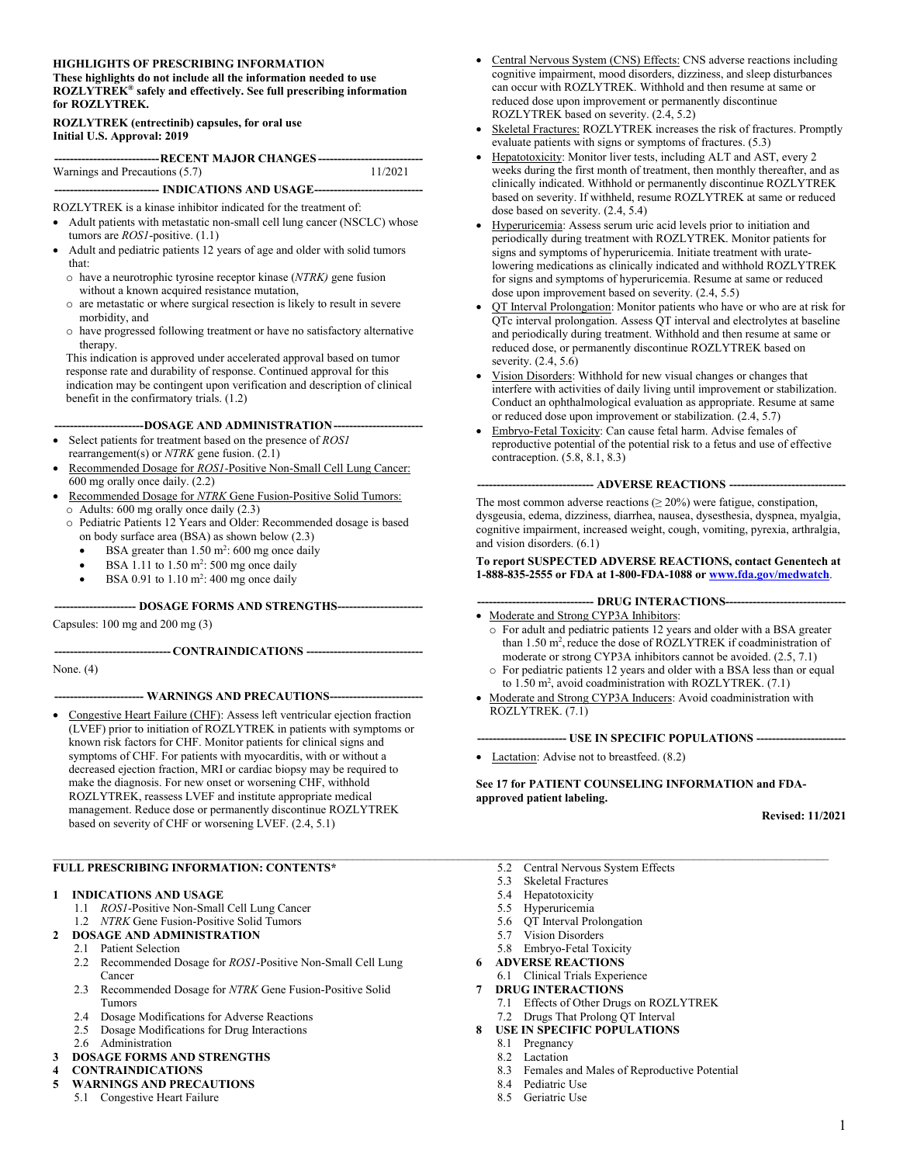#### **HIGHLIGHTS OF PRESCRIBING INFORMATION**

**These highlights do not include all the information needed to use ROZLYTREK® safely and effectively. See full prescribing information for ROZLYTREK.** 

#### **ROZLYTREK (entrectinib) capsules, for oral use Initial U.S. Approval: 2019**

| ------------------------------------RECENT MAJOR CHANGES------------------------------ |         |
|----------------------------------------------------------------------------------------|---------|
| Warnings and Precautions (5.7)                                                         | 11/2021 |
| ---------------------------- INDICATIONS AND USAGE------------------------------       |         |

ROZLYTREK is a kinase inhibitor indicated for the treatment of:

- Adult patients with metastatic non-small cell lung cancer (NSCLC) whose tumors are *ROS1*-positive. (1.1)
- Adult and pediatric patients 12 years of age and older with solid tumors that:
	- o have a neurotrophic tyrosine receptor kinase (*NTRK)* gene fusion without a known acquired resistance mutation,
	- o are metastatic or where surgical resection is likely to result in severe morbidity, and
	- o have progressed following treatment or have no satisfactory alternative therapy.

This indication is approved under accelerated approval based on tumor response rate and durability of response. Continued approval for this indication may be contingent upon verification and description of clinical benefit in the confirmatory trials. (1.2)

**-----------------------DOSAGE AND ADMINISTRATION-----------------------**

- Select patients for treatment based on the presence of *ROS1* rearrangement(s) or *NTRK* gene fusion. (2.1)
- Recommended Dosage for *ROS1-*Positive Non-Small Cell Lung Cancer: 600 mg orally once daily. (2.2)
- Recommended Dosage for *NTRK* Gene Fusion-Positive Solid Tumors: o Adults: 600 mg orally once daily (2.3)
- o Pediatric Patients 12 Years and Older: Recommended dosage is based on body surface area (BSA) as shown below (2.3)
	- $\bullet$  BSA greater than 1.50 m<sup>2</sup>: 600 mg once daily
	- $\bullet$  BSA 1.11 to 1.50 m<sup>2</sup>: 500 mg once daily
	- $\bullet$  BSA 0.91 to 1.10 m<sup>2</sup>: 400 mg once daily

#### **--------------------- DOSAGE FORMS AND STRENGTHS----------------------**

Capsules: 100 mg and 200 mg (3)

#### **------------------------------ CONTRAINDICATIONS ------------------------------**

None. (4)

#### **----------------------- WARNINGS AND PRECAUTIONS------------------------**

 Congestive Heart Failure (CHF): Assess left ventricular ejection fraction (LVEF) prior to initiation of ROZLYTREK in patients with symptoms or known risk factors for CHF. Monitor patients for clinical signs and symptoms of CHF. For patients with myocarditis, with or without a decreased ejection fraction, MRI or cardiac biopsy may be required to make the diagnosis. For new onset or worsening CHF, withhold ROZLYTREK, reassess LVEF and institute appropriate medical management. Reduce dose or permanently discontinue ROZLYTREK based on severity of CHF or worsening LVEF. (2.4, 5.1)

#### **FULL PRESCRIBING INFORMATION: CONTENTS\***

#### **<sup>1</sup> INDICATIONS AND USAGE**

- 1.1 *ROS1*-Positive Non-Small Cell Lung Cancer
- 1.2 *NTRK* Gene Fusion-Positive Solid Tumors **<sup>2</sup> DOSAGE AND ADMINISTRATION**
- 2.1 Patient Selection
- 2.2 Recommended Dosage for *ROS1*-Positive Non-Small Cell Lung Cancer
- 2.3 Recommended Dosage for *NTRK* Gene Fusion-Positive Solid Tumors
- 2.4 Dosage Modifications for Adverse Reactions
- 2.5 Dosage Modifications for Drug Interactions
- 2.6 Administration
- **<sup>3</sup> DOSAGE FORMS AND STRENGTHS**

# **<sup>4</sup> CONTRAINDICATIONS**

- **<sup>5</sup> WARNINGS AND PRECAUTIONS**
- 5.1 Congestive Heart Failure
- Central Nervous System (CNS) Effects: CNS adverse reactions including cognitive impairment, mood disorders, dizziness, and sleep disturbances can occur with ROZLYTREK. Withhold and then resume at same or reduced dose upon improvement or permanently discontinue ROZLYTREK based on severity. (2.4, 5.2)
- Skeletal Fractures: ROZLYTREK increases the risk of fractures. Promptly evaluate patients with signs or symptoms of fractures. (5.3)
- Hepatotoxicity: Monitor liver tests, including ALT and AST, every 2 weeks during the first month of treatment, then monthly thereafter, and as clinically indicated. Withhold or permanently discontinue ROZLYTREK based on severity. If withheld, resume ROZLYTREK at same or reduced dose based on severity. (2.4, 5.4)
- Hyperuricemia: Assess serum uric acid levels prior to initiation and periodically during treatment with ROZLYTREK. Monitor patients for signs and symptoms of hyperuricemia. Initiate treatment with uratelowering medications as clinically indicated and withhold ROZLYTREK for signs and symptoms of hyperuricemia. Resume at same or reduced dose upon improvement based on severity. (2.4, 5.5)
- QT Interval Prolongation: Monitor patients who have or who are at risk for QTc interval prolongation. Assess QT interval and electrolytes at baseline and periodically during treatment. Withhold and then resume at same or reduced dose, or permanently discontinue ROZLYTREK based on severity. (2.4, 5.6)
- Vision Disorders: Withhold for new visual changes or changes that interfere with activities of daily living until improvement or stabilization. Conduct an ophthalmological evaluation as appropriate. Resume at same or reduced dose upon improvement or stabilization. (2.4, 5.7)
- Embryo-Fetal Toxicity: Can cause fetal harm. Advise females of reproductive potential of the potential risk to a fetus and use of effective contraception. (5.8, 8.1, 8.3)

#### **------------------------------ ADVERSE REACTIONS ------------------------------**

The most common adverse reactions  $(≥ 20%)$  were fatigue, constipation, dysgeusia, edema, dizziness, diarrhea, nausea, dysesthesia, dyspnea, myalgia, cognitive impairment, increased weight, cough, vomiting, pyrexia, arthralgia, and vision disorders. (6.1)

#### **To report SUSPECTED ADVERSE REACTIONS, contact Genentech at 1-888-835-2555 or FDA at 1-800-FDA-1088 or [www.fda.gov/medwatch](http://www.fda.gov/medwatch)**.

#### **------------------------------ DRUG INTERACTIONS-------------------------------**

- Moderate and Strong CYP3A Inhibitors:
	- o For adult and pediatric patients 12 years and older with a BSA greater than 1.50 m<sup>2</sup>, reduce the dose of ROZLYTREK if coadministration of moderate or strong CYP3A inhibitors cannot be avoided. (2.5, 7.1)
- o For pediatric patients 12 years and older with a BSA less than or equal to  $1.50$  m<sup>2</sup>, avoid coadministration with ROZLYTREK.  $(7.1)$
- Moderate and Strong CYP3A Inducers: Avoid coadministration with ROZLYTREK. (7.1)

#### **----------------------- USE IN SPECIFIC POPULATIONS -----------------------**

• Lactation: Advise not to breastfeed. (8.2)

**See 17 for PATIENT COUNSELING INFORMATION and FDAapproved patient labeling.**

**Revised: 11/2021**

- 5.2 Central Nervous System Effects
- 5.3 Skeletal Fractures
- 5.4 Hepatotoxicity
- 5.5 Hyperuricemia
- 5.6 QT Interval Prolongation
- 5.7 Vision Disorders
- 5.8 Embryo-Fetal Toxicity
- **<sup>6</sup> ADVERSE REACTIONS**
	- 6.1 Clinical Trials Experience
- **<sup>7</sup> DRUG INTERACTIONS**
	- 7.1 Effects of Other Drugs on ROZLYTREK
	- 7.2 Drugs That Prolong QT Interval
- **<sup>8</sup> USE IN SPECIFIC POPULATIONS**
	- 8.1 Pregnancy
	- 8.2 Lactation
	- 8.3 Females and Males of Reproductive Potential
	- 8.4 Pediatric Use
	- 8.5 Geriatric Use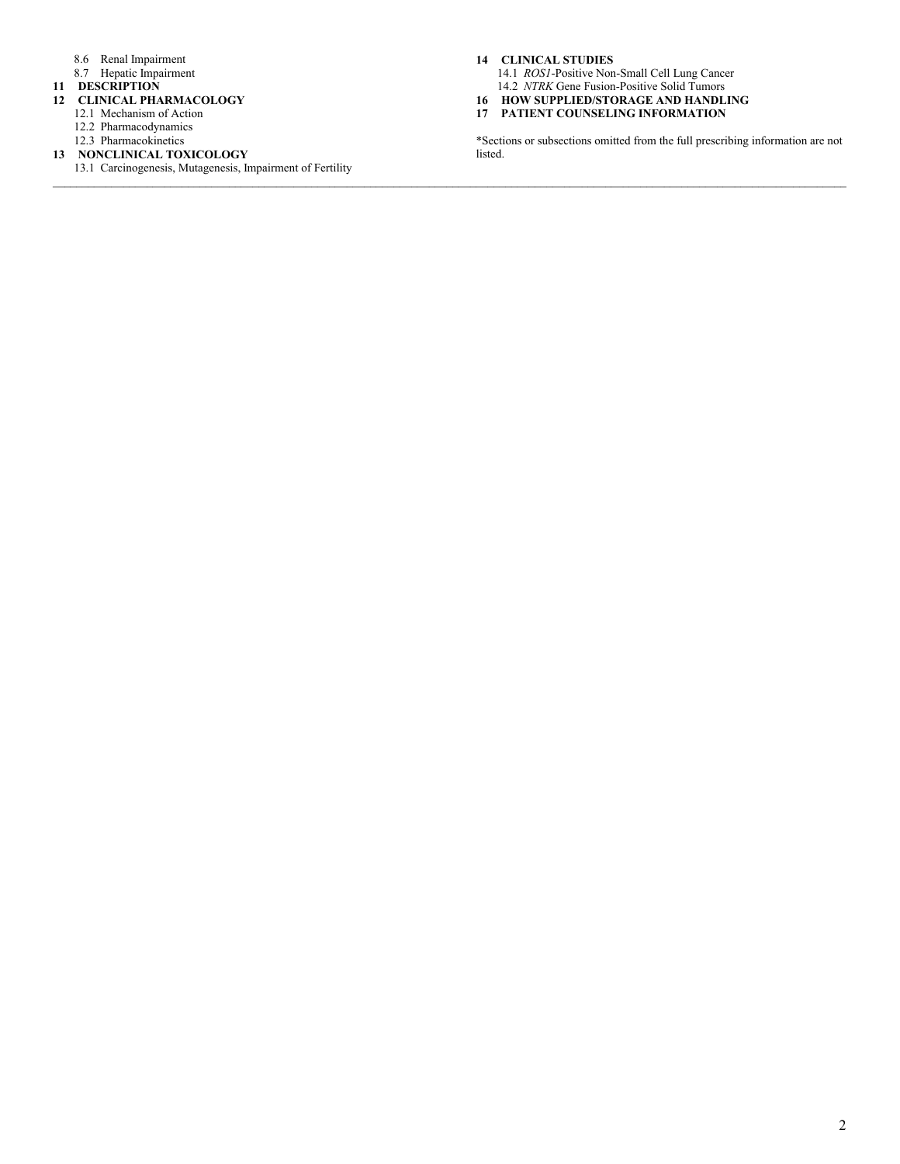- 8.6 Renal Impairment
- 8.7 Hepatic Impairment
- **<sup>11</sup> DESCRIPTION**

#### **<sup>12</sup> CLINICAL PHARMACOLOGY**

- 12.1 Mechanism of Action
- 12.2 Pharmacodynamics
- 12.3 Pharmacokinetics
- **<sup>13</sup> NONCLINICAL TOXICOLOGY**
	- 13.1 Carcinogenesis, Mutagenesis, Impairment of Fertility

#### **<sup>14</sup> CLINICAL STUDIES**

14.1 *ROS1*-Positive Non-Small Cell Lung Cancer 14.2 *NTRK* Gene Fusion-Positive Solid Tumors

- **<sup>16</sup> HOW SUPPLIED/STORAGE AND HANDLING**
- **<sup>17</sup> PATIENT COUNSELING INFORMATION**

\*Sections or subsections omitted from the full prescribing information are not listed.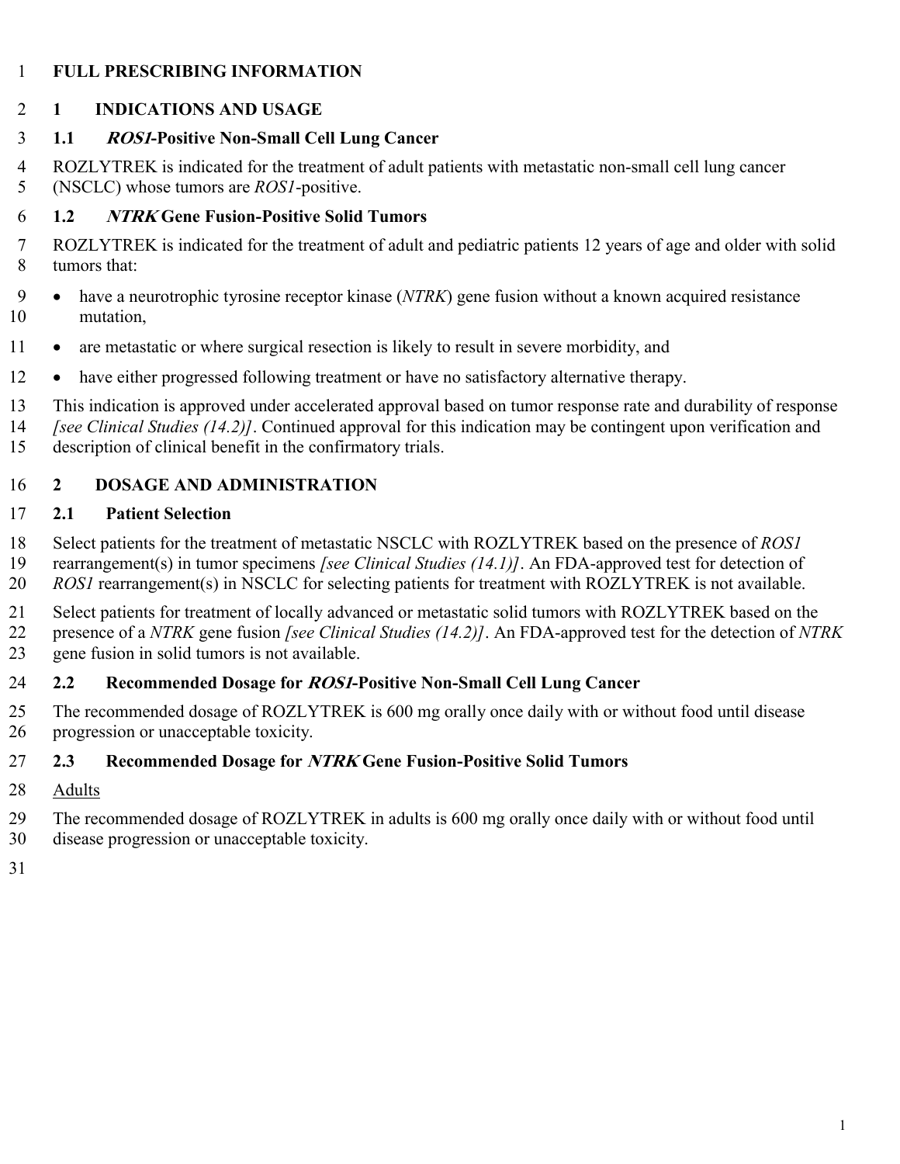#### **FULL PRESCRIBING INFORMATION**

#### **1 INDICATIONS AND USAGE**

#### **1.1 ROS1-Positive Non-Small Cell Lung Cancer**

 ROZLYTREK is indicated for the treatment of adult patients with metastatic non-small cell lung cancer (NSCLC) whose tumors are *ROS1*-positive.

#### **1.2 NTRK Gene Fusion-Positive Solid Tumors**

- ROZLYTREK is indicated for the treatment of adult and pediatric patients 12 years of age and older with solid tumors that:
- have a neurotrophic tyrosine receptor kinase (*NTRK*) gene fusion without a known acquired resistance mutation,
- 11 are metastatic or where surgical resection is likely to result in severe morbidity, and
- 12 have either progressed following treatment or have no satisfactory alternative therapy.
- This indication is approved under accelerated approval based on tumor response rate and durability of response
- *[see Clinical Studies (14.2)]*. Continued approval for this indication may be contingent upon verification and
- description of clinical benefit in the confirmatory trials.

## **2 DOSAGE AND ADMINISTRATION**

#### **2.1 Patient Selection**

 Select patients for the treatment of metastatic NSCLC with ROZLYTREK based on the presence of *ROS1* rearrangement(s) in tumor specimens *[see Clinical Studies (14.1)]*. An FDA-approved test for detection of *ROS1* rearrangement(s) in NSCLC for selecting patients for treatment with ROZLYTREK is not available.

 Select patients for treatment of locally advanced or metastatic solid tumors with ROZLYTREK based on the presence of a *NTRK* gene fusion *[see Clinical Studies (14.2)]*. An FDA-approved test for the detection of *NTRK* gene fusion in solid tumors is not available.

## **2.2 Recommended Dosage for ROS1-Positive Non-Small Cell Lung Cancer**

 The recommended dosage of ROZLYTREK is 600 mg orally once daily with or without food until disease progression or unacceptable toxicity.

#### **2.3 Recommended Dosage for NTRK Gene Fusion-Positive Solid Tumors**

Adults

The recommended dosage of ROZLYTREK in adults is 600 mg orally once daily with or without food until

- disease progression or unacceptable toxicity.
-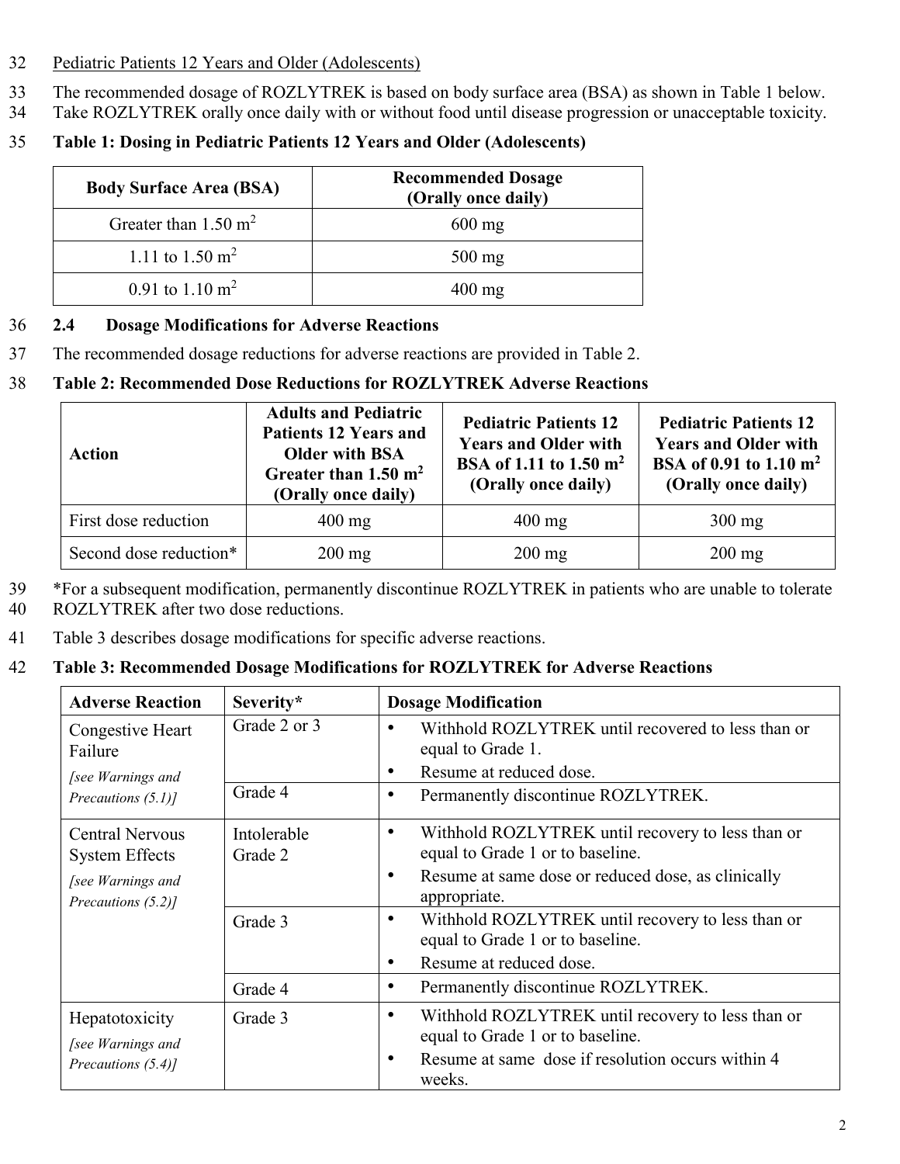- 32 Pediatric Patients 12 Years and Older (Adolescents)
- 33 The recommended dosage of ROZLYTREK is based on body surface area (BSA) as shown in Table 1 below.
- 34 Take ROZLYTREK orally once daily with or without food until disease progression or unacceptable toxicity.
- 35 **Table 1: Dosing in Pediatric Patients 12 Years and Older (Adolescents)**

| <b>Body Surface Area (BSA)</b>  | <b>Recommended Dosage</b><br>(Orally once daily) |
|---------------------------------|--------------------------------------------------|
| Greater than $1.50 \text{ m}^2$ | $600 \text{ mg}$                                 |
| 1.11 to 1.50 m <sup>2</sup>     | $500 \text{ mg}$                                 |
| 0.91 to $1.10 \text{ m}^2$      | $400 \text{ mg}$                                 |

#### 36 **2.4 Dosage Modifications for Adverse Reactions**

37 The recommended dosage reductions for adverse reactions are provided in Table 2.

## 38 **Table 2: Recommended Dose Reductions for ROZLYTREK Adverse Reactions**

| Action                 | <b>Adults and Pediatric</b><br><b>Patients 12 Years and</b><br><b>Older with BSA</b><br>Greater than $1.50 \text{ m}^2$<br>(Orally once daily) | <b>Pediatric Patients 12</b><br><b>Years and Older with</b><br>BSA of 1.11 to 1.50 m <sup>2</sup><br>(Orally once daily) | <b>Pediatric Patients 12</b><br><b>Years and Older with</b><br>BSA of 0.91 to 1.10 m <sup>2</sup><br>(Orally once daily) |
|------------------------|------------------------------------------------------------------------------------------------------------------------------------------------|--------------------------------------------------------------------------------------------------------------------------|--------------------------------------------------------------------------------------------------------------------------|
| First dose reduction   | $400 \text{ mg}$                                                                                                                               | $400 \text{ mg}$                                                                                                         | $300 \text{ mg}$                                                                                                         |
| Second dose reduction* | $200 \text{ mg}$                                                                                                                               | $200$ mg                                                                                                                 | $200$ mg                                                                                                                 |

- 39 \*For a subsequent modification, permanently discontinue ROZLYTREK in patients who are unable to tolerate
- 40 ROZLYTREK after two dose reductions.
- 41 Table 3 describes dosage modifications for specific adverse reactions.

## 42 **Table 3: Recommended Dosage Modifications for ROZLYTREK for Adverse Reactions**

| <b>Adverse Reaction</b>                                                                    | Severity*              | <b>Dosage Modification</b>                                                                                                                                                            |
|--------------------------------------------------------------------------------------------|------------------------|---------------------------------------------------------------------------------------------------------------------------------------------------------------------------------------|
| Congestive Heart<br>Failure<br>[see Warnings and                                           | Grade 2 or 3           | Withhold ROZLYTREK until recovered to less than or<br>$\bullet$<br>equal to Grade 1.<br>Resume at reduced dose.<br>$\bullet$                                                          |
| Precautions (5.1)]                                                                         | Grade 4                | Permanently discontinue ROZLYTREK.<br>٠                                                                                                                                               |
| <b>Central Nervous</b><br><b>System Effects</b><br>[see Warnings and<br>Precautions (5.2)] | Intolerable<br>Grade 2 | Withhold ROZLYTREK until recovery to less than or<br>$\bullet$<br>equal to Grade 1 or to baseline.<br>Resume at same dose or reduced dose, as clinically<br>$\bullet$<br>appropriate. |
|                                                                                            | Grade 3                | Withhold ROZLYTREK until recovery to less than or<br>$\bullet$<br>equal to Grade 1 or to baseline.<br>Resume at reduced dose.<br>$\bullet$                                            |
|                                                                                            | Grade 4                | Permanently discontinue ROZLYTREK.<br>$\bullet$                                                                                                                                       |
| Hepatotoxicity<br>[see Warnings and<br>Precautions (5.4)]                                  | Grade 3                | Withhold ROZLYTREK until recovery to less than or<br>$\bullet$<br>equal to Grade 1 or to baseline.<br>Resume at same dose if resolution occurs within 4<br>$\bullet$<br>weeks.        |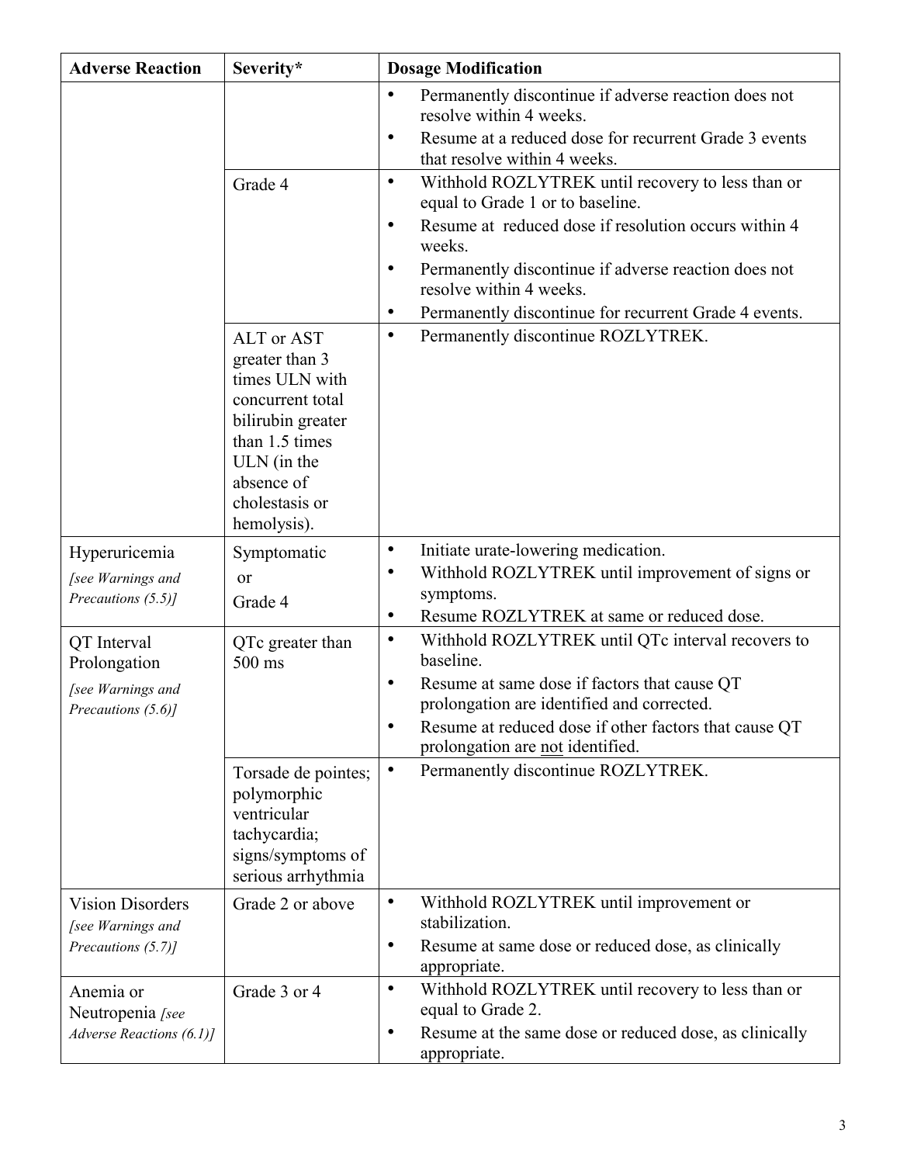| <b>Adverse Reaction</b>                                                | Severity*                                                                                                                                                               | <b>Dosage Modification</b>                                                                                                                                                                                                                                                                                                                                                                                                                                   |
|------------------------------------------------------------------------|-------------------------------------------------------------------------------------------------------------------------------------------------------------------------|--------------------------------------------------------------------------------------------------------------------------------------------------------------------------------------------------------------------------------------------------------------------------------------------------------------------------------------------------------------------------------------------------------------------------------------------------------------|
|                                                                        | Grade 4                                                                                                                                                                 | Permanently discontinue if adverse reaction does not<br>$\bullet$<br>resolve within 4 weeks.<br>Resume at a reduced dose for recurrent Grade 3 events<br>$\bullet$<br>that resolve within 4 weeks.<br>Withhold ROZLYTREK until recovery to less than or<br>$\bullet$<br>equal to Grade 1 or to baseline.<br>Resume at reduced dose if resolution occurs within 4<br>$\bullet$<br>weeks.<br>Permanently discontinue if adverse reaction does not<br>$\bullet$ |
|                                                                        |                                                                                                                                                                         | resolve within 4 weeks.<br>$\bullet$                                                                                                                                                                                                                                                                                                                                                                                                                         |
|                                                                        | ALT or AST<br>greater than 3<br>times ULN with<br>concurrent total<br>bilirubin greater<br>than 1.5 times<br>ULN (in the<br>absence of<br>cholestasis or<br>hemolysis). | Permanently discontinue for recurrent Grade 4 events.<br>Permanently discontinue ROZLYTREK.<br>$\bullet$                                                                                                                                                                                                                                                                                                                                                     |
| Hyperuricemia<br>[see Warnings and<br>Precautions (5.5)]               | Symptomatic<br>or<br>Grade 4                                                                                                                                            | Initiate urate-lowering medication.<br>$\bullet$<br>Withhold ROZLYTREK until improvement of signs or<br>$\bullet$<br>symptoms.                                                                                                                                                                                                                                                                                                                               |
| QT Interval<br>Prolongation<br>[see Warnings and<br>Precautions (5.6)] | QTc greater than<br>500 ms                                                                                                                                              | Resume ROZLYTREK at same or reduced dose.<br>$\bullet$<br>Withhold ROZLYTREK until QTc interval recovers to<br>$\bullet$<br>baseline.<br>Resume at same dose if factors that cause QT<br>$\bullet$<br>prolongation are identified and corrected.<br>Resume at reduced dose if other factors that cause QT<br>$\bullet$<br>prolongation are not identified.                                                                                                   |
|                                                                        | Torsade de pointes;<br>polymorphic<br>ventricular<br>tachycardia;<br>signs/symptoms of<br>serious arrhythmia                                                            | Permanently discontinue ROZLYTREK.<br>$\bullet$                                                                                                                                                                                                                                                                                                                                                                                                              |
| <b>Vision Disorders</b><br>[see Warnings and<br>Precautions (5.7)]     | Grade 2 or above                                                                                                                                                        | Withhold ROZLYTREK until improvement or<br>$\bullet$<br>stabilization.<br>Resume at same dose or reduced dose, as clinically<br>٠<br>appropriate.                                                                                                                                                                                                                                                                                                            |
| Anemia or<br>Neutropenia [see<br>Adverse Reactions (6.1)]              | Grade 3 or 4                                                                                                                                                            | Withhold ROZLYTREK until recovery to less than or<br>$\bullet$<br>equal to Grade 2.<br>Resume at the same dose or reduced dose, as clinically<br>٠<br>appropriate.                                                                                                                                                                                                                                                                                           |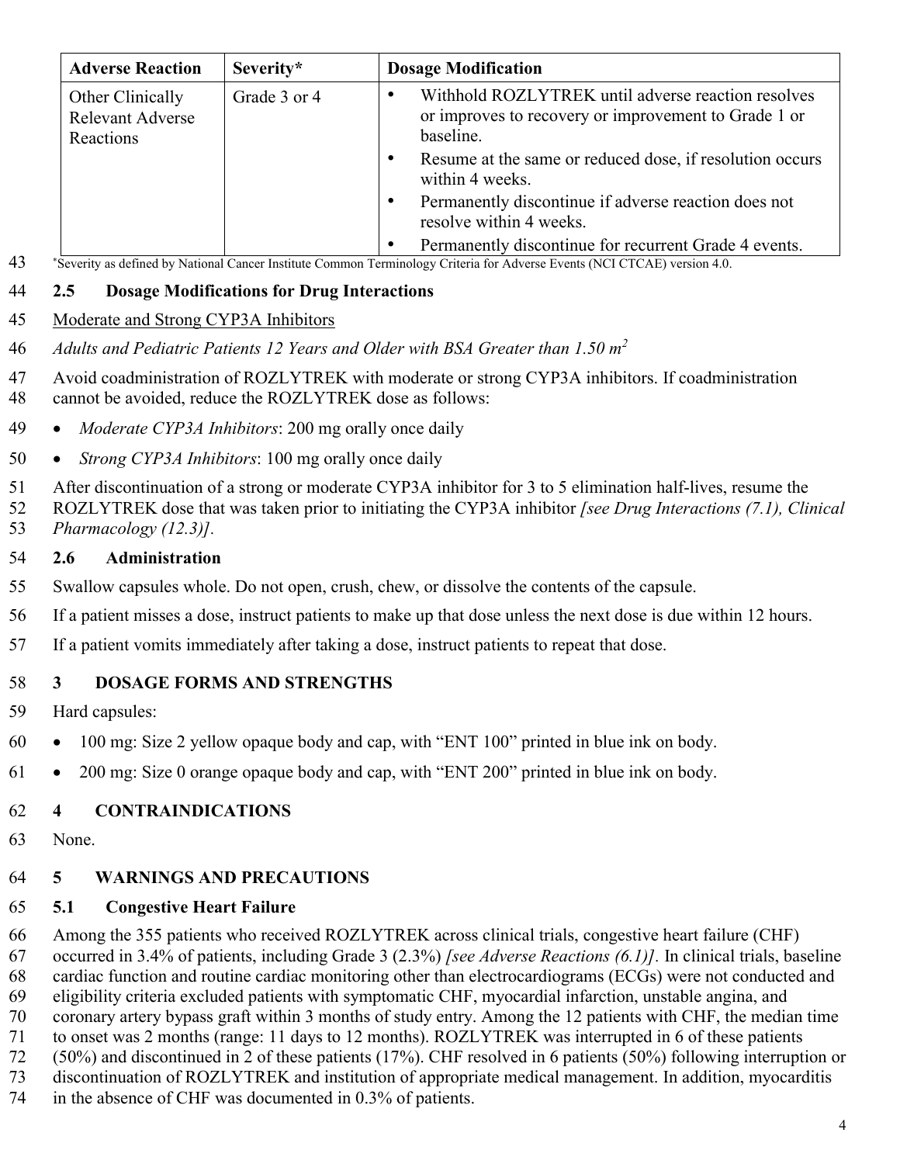| <b>Adverse Reaction</b>                                  | Severity*    | <b>Dosage Modification</b>                                                                                              |
|----------------------------------------------------------|--------------|-------------------------------------------------------------------------------------------------------------------------|
| Other Clinically<br><b>Relevant Adverse</b><br>Reactions | Grade 3 or 4 | Withhold ROZLYTREK until adverse reaction resolves<br>or improves to recovery or improvement to Grade 1 or<br>baseline. |
|                                                          |              | Resume at the same or reduced dose, if resolution occurs<br>$\bullet$<br>within 4 weeks.                                |
|                                                          |              | Permanently discontinue if adverse reaction does not<br>٠<br>resolve within 4 weeks.                                    |
|                                                          |              | Permanently discontinue for recurrent Grade 4 events.<br>٠                                                              |

\* Severity as defined by National Cancer Institute Common Terminology Criteria for Adverse Events (NCI CTCAE) version 4.0.

#### **2.5 Dosage Modifications for Drug Interactions**

#### Moderate and Strong CYP3A Inhibitors

- *Adults and Pediatric Patients 12 Years and Older with BSA Greater than 1.50 m 2*
- Avoid coadministration of ROZLYTREK with moderate or strong CYP3A inhibitors. If coadministration cannot be avoided, reduce the ROZLYTREK dose as follows:
- *Moderate CYP3A Inhibitors*: 200 mg orally once daily
- *Strong CYP3A Inhibitors*: 100 mg orally once daily
- After discontinuation of a strong or moderate CYP3A inhibitor for 3 to 5 elimination half-lives, resume the ROZLYTREK dose that was taken prior to initiating the CYP3A inhibitor *[see Drug Interactions (7.1), Clinical*
- *Pharmacology (12.3)].*

#### **2.6 Administration**

- Swallow capsules whole. Do not open, crush, chew, or dissolve the contents of the capsule.
- If a patient misses a dose, instruct patients to make up that dose unless the next dose is due within 12 hours.
- If a patient vomits immediately after taking a dose, instruct patients to repeat that dose.

## **3 DOSAGE FORMS AND STRENGTHS**

- Hard capsules:
- 100 mg: Size 2 yellow opaque body and cap, with "ENT 100" printed in blue ink on body.
- 200 mg: Size 0 orange opaque body and cap, with "ENT 200" printed in blue ink on body.

## **4 CONTRAINDICATIONS**

None.

## **5 WARNINGS AND PRECAUTIONS**

## **5.1 Congestive Heart Failure**

 Among the 355 patients who received ROZLYTREK across clinical trials, congestive heart failure (CHF) occurred in 3.4% of patients, including Grade 3 (2.3%) *[see Adverse Reactions (6.1)].* In clinical trials, baseline cardiac function and routine cardiac monitoring other than electrocardiograms (ECGs) were not conducted and eligibility criteria excluded patients with symptomatic CHF, myocardial infarction, unstable angina, and coronary artery bypass graft within 3 months of study entry. Among the 12 patients with CHF, the median time to onset was 2 months (range: 11 days to 12 months). ROZLYTREK was interrupted in 6 of these patients (50%) and discontinued in 2 of these patients (17%). CHF resolved in 6 patients (50%) following interruption or discontinuation of ROZLYTREK and institution of appropriate medical management. In addition, myocarditis

in the absence of CHF was documented in 0.3% of patients.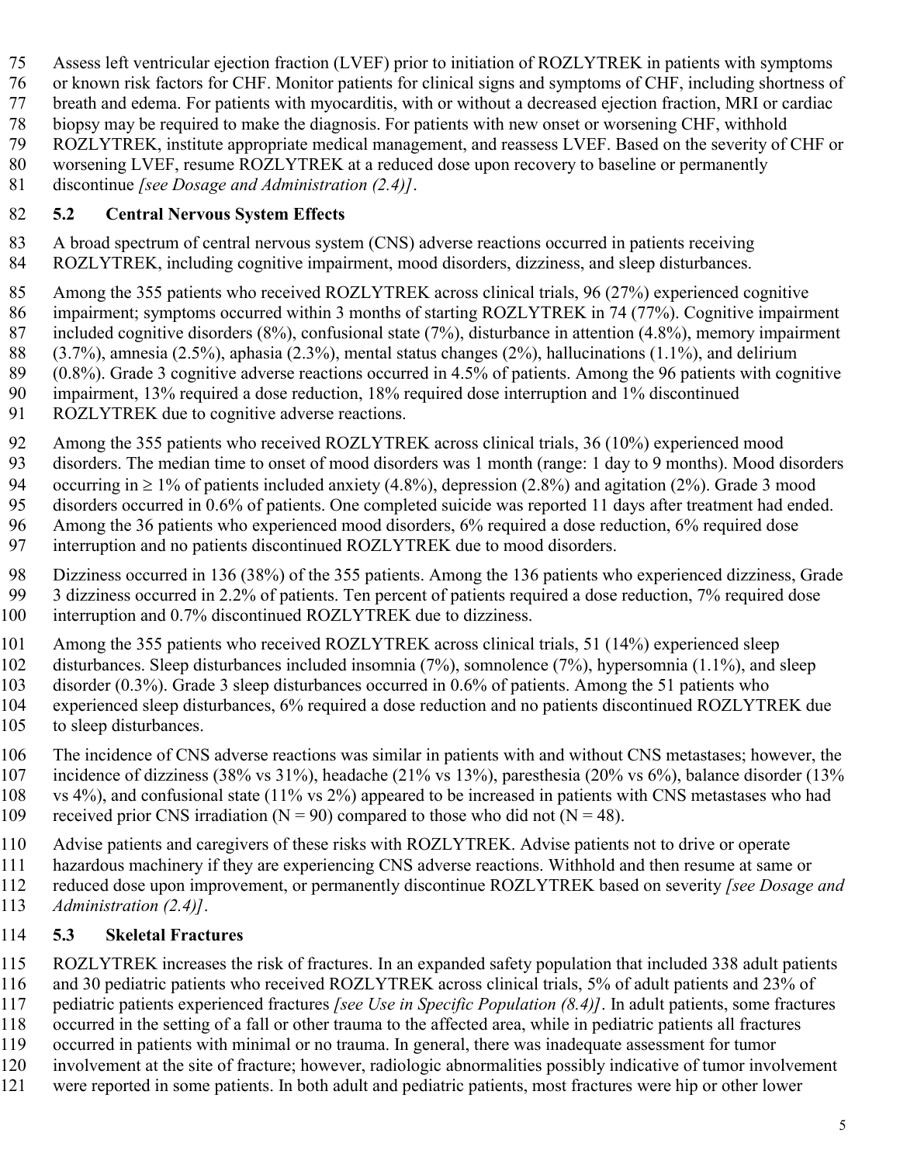Assess left ventricular ejection fraction (LVEF) prior to initiation of ROZLYTREK in patients with symptoms

or known risk factors for CHF. Monitor patients for clinical signs and symptoms of CHF, including shortness of

breath and edema. For patients with myocarditis, with or without a decreased ejection fraction, MRI or cardiac

 biopsy may be required to make the diagnosis. For patients with new onset or worsening CHF, withhold ROZLYTREK, institute appropriate medical management, and reassess LVEF. Based on the severity of CHF or

worsening LVEF, resume ROZLYTREK at a reduced dose upon recovery to baseline or permanently

discontinue *[see Dosage and Administration (2.4)]*.

# **5.2 Central Nervous System Effects**

- A broad spectrum of central nervous system (CNS) adverse reactions occurred in patients receiving ROZLYTREK, including cognitive impairment, mood disorders, dizziness, and sleep disturbances.
- Among the 355 patients who received ROZLYTREK across clinical trials, 96 (27%) experienced cognitive impairment; symptoms occurred within 3 months of starting ROZLYTREK in 74 (77%). Cognitive impairment included cognitive disorders (8%), confusional state (7%), disturbance in attention (4.8%), memory impairment (3.7%), amnesia (2.5%), aphasia (2.3%), mental status changes (2%), hallucinations (1.1%), and delirium
- (0.8%). Grade 3 cognitive adverse reactions occurred in 4.5% of patients. Among the 96 patients with cognitive
- impairment, 13% required a dose reduction, 18% required dose interruption and 1% discontinued
- ROZLYTREK due to cognitive adverse reactions.
- Among the 355 patients who received ROZLYTREK across clinical trials, 36 (10%) experienced mood
- disorders. The median time to onset of mood disorders was 1 month (range: 1 day to 9 months). Mood disorders

94 occurring in  $\geq 1\%$  of patients included anxiety (4.8%), depression (2.8%) and agitation (2%). Grade 3 mood

 disorders occurred in 0.6% of patients. One completed suicide was reported 11 days after treatment had ended. Among the 36 patients who experienced mood disorders, 6% required a dose reduction, 6% required dose

- interruption and no patients discontinued ROZLYTREK due to mood disorders.
- Dizziness occurred in 136 (38%) of the 355 patients. Among the 136 patients who experienced dizziness, Grade
- 3 dizziness occurred in 2.2% of patients. Ten percent of patients required a dose reduction, 7% required dose
- 100 interruption and 0.7% discontinued ROZLYTREK due to dizziness.
- Among the 355 patients who received ROZLYTREK across clinical trials, 51 (14%) experienced sleep
- disturbances. Sleep disturbances included insomnia (7%), somnolence (7%), hypersomnia (1.1%), and sleep
- disorder (0.3%). Grade 3 sleep disturbances occurred in 0.6% of patients. Among the 51 patients who experienced sleep disturbances, 6% required a dose reduction and no patients discontinued ROZLYTREK due
- to sleep disturbances.
- The incidence of CNS adverse reactions was similar in patients with and without CNS metastases; however, the incidence of dizziness (38% vs 31%), headache (21% vs 13%), paresthesia (20% vs 6%), balance disorder (13% vs 4%), and confusional state (11% vs 2%) appeared to be increased in patients with CNS metastases who had
- 109 received prior CNS irradiation ( $N = 90$ ) compared to those who did not ( $N = 48$ ).
- Advise patients and caregivers of these risks with ROZLYTREK. Advise patients not to drive or operate
- hazardous machinery if they are experiencing CNS adverse reactions. Withhold and then resume at same or reduced dose upon improvement, or permanently discontinue ROZLYTREK based on severity *[see Dosage and*
- *Administration (2.4)]*.

# **5.3 Skeletal Fractures**

ROZLYTREK increases the risk of fractures. In an expanded safety population that included 338 adult patients

 and 30 pediatric patients who received ROZLYTREK across clinical trials, 5% of adult patients and 23% of pediatric patients experienced fractures *[see Use in Specific Population (8.4)]*. In adult patients, some fractures

- occurred in the setting of a fall or other trauma to the affected area, while in pediatric patients all fractures
- occurred in patients with minimal or no trauma. In general, there was inadequate assessment for tumor
- involvement at the site of fracture; however, radiologic abnormalities possibly indicative of tumor involvement
- were reported in some patients. In both adult and pediatric patients, most fractures were hip or other lower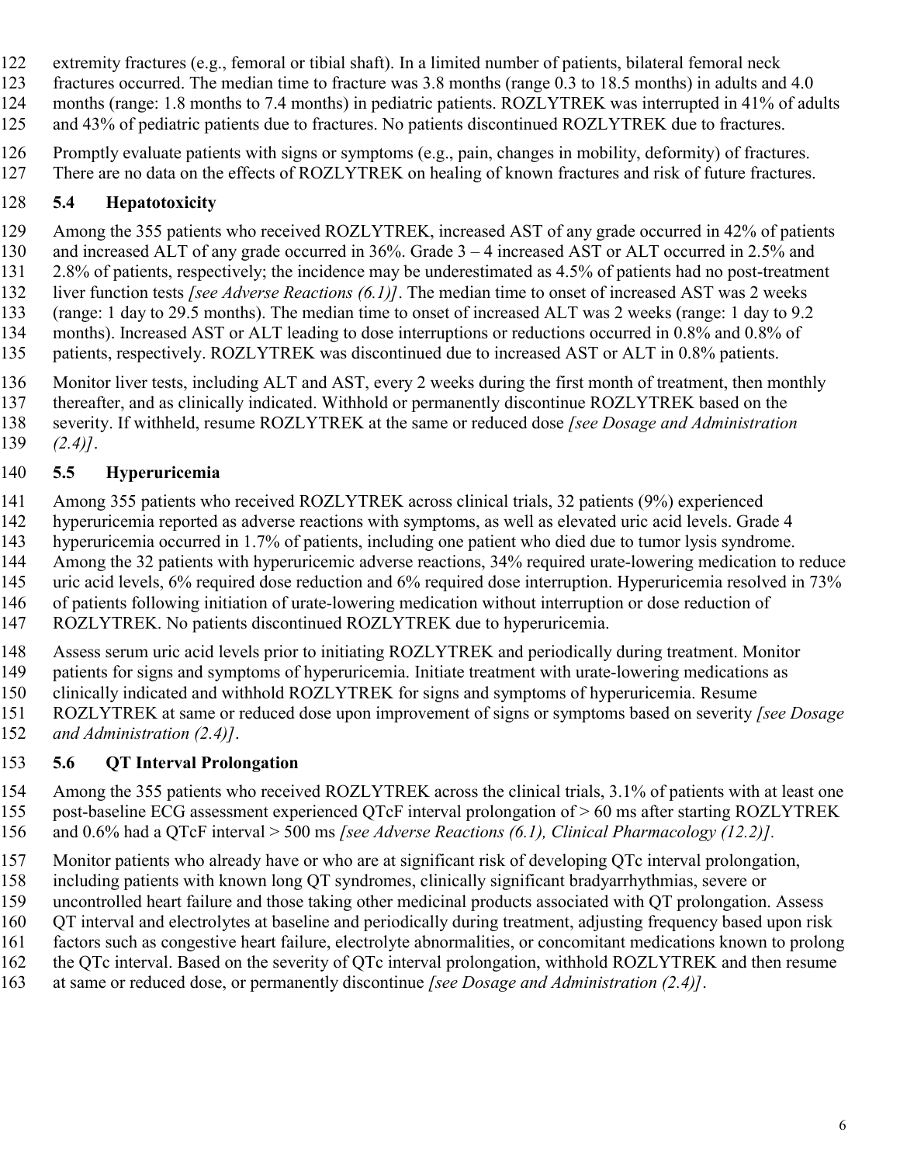- extremity fractures (e.g., femoral or tibial shaft). In a limited number of patients, bilateral femoral neck
- fractures occurred. The median time to fracture was 3.8 months (range 0.3 to 18.5 months) in adults and 4.0 124 months (range: 1.8 months to 7.4 months) in pediatric patients. ROZLYTREK was interrupted in 41% of adults 125 and 43% of pediatric patients due to fractures. No patients discontinued ROZLYTREK due to fractures.
- Promptly evaluate patients with signs or symptoms (e.g., pain, changes in mobility, deformity) of fractures.
- 127 There are no data on the effects of ROZLYTREK on healing of known fractures and risk of future fractures.

# **5.4 Hepatotoxicity**

- Among the 355 patients who received ROZLYTREK, increased AST of any grade occurred in 42% of patients and increased ALT of any grade occurred in 36%. Grade 3 – 4 increased AST or ALT occurred in 2.5% and 131 2.8% of patients, respectively; the incidence may be underestimated as 4.5% of patients had no post-treatment liver function tests *[see Adverse Reactions (6.1)]*. The median time to onset of increased AST was 2 weeks (range: 1 day to 29.5 months). The median time to onset of increased ALT was 2 weeks (range: 1 day to 9.2 months). Increased AST or ALT leading to dose interruptions or reductions occurred in 0.8% and 0.8% of 135 patients, respectively. ROZLYTREK was discontinued due to increased AST or ALT in 0.8% patients.
- 136 Monitor liver tests, including ALT and AST, every 2 weeks during the first month of treatment, then monthly thereafter, and as clinically indicated. Withhold or permanently discontinue ROZLYTREK based on the severity. If withheld, resume ROZLYTREK at the same or reduced dose *[see Dosage and Administration (2.4)]*.

# **5.5 Hyperuricemia**

- Among 355 patients who received ROZLYTREK across clinical trials, 32 patients (9%) experienced hyperuricemia reported as adverse reactions with symptoms, as well as elevated uric acid levels. Grade 4 hyperuricemia occurred in 1.7% of patients, including one patient who died due to tumor lysis syndrome.
- Among the 32 patients with hyperuricemic adverse reactions, 34% required urate-lowering medication to reduce
- 145 uric acid levels, 6% required dose reduction and 6% required dose interruption. Hyperuricemia resolved in 73%
- of patients following initiation of urate-lowering medication without interruption or dose reduction of
- ROZLYTREK. No patients discontinued ROZLYTREK due to hyperuricemia.
- Assess serum uric acid levels prior to initiating ROZLYTREK and periodically during treatment. Monitor
- patients for signs and symptoms of hyperuricemia. Initiate treatment with urate-lowering medications as
- clinically indicated and withhold ROZLYTREK for signs and symptoms of hyperuricemia. Resume
- ROZLYTREK at same or reduced dose upon improvement of signs or symptoms based on severity *[see Dosage*
- *and Administration (2.4)]*.

# **5.6 QT Interval Prolongation**

- Among the 355 patients who received ROZLYTREK across the clinical trials, 3.1% of patients with at least one post-baseline ECG assessment experienced QTcF interval prolongation of > 60 ms after starting ROZLYTREK and 0.6% had a QTcF interval > 500 ms *[see Adverse Reactions (6.1), Clinical Pharmacology (12.2)].*
- Monitor patients who already have or who are at significant risk of developing QTc interval prolongation,
- including patients with known long QT syndromes, clinically significant bradyarrhythmias, severe or
- uncontrolled heart failure and those taking other medicinal products associated with QT prolongation. Assess
- QT interval and electrolytes at baseline and periodically during treatment, adjusting frequency based upon risk
- factors such as congestive heart failure, electrolyte abnormalities, or concomitant medications known to prolong the QTc interval. Based on the severity of QTc interval prolongation, withhold ROZLYTREK and then resume
- at same or reduced dose, or permanently discontinue *[see Dosage and Administration (2.4)]*.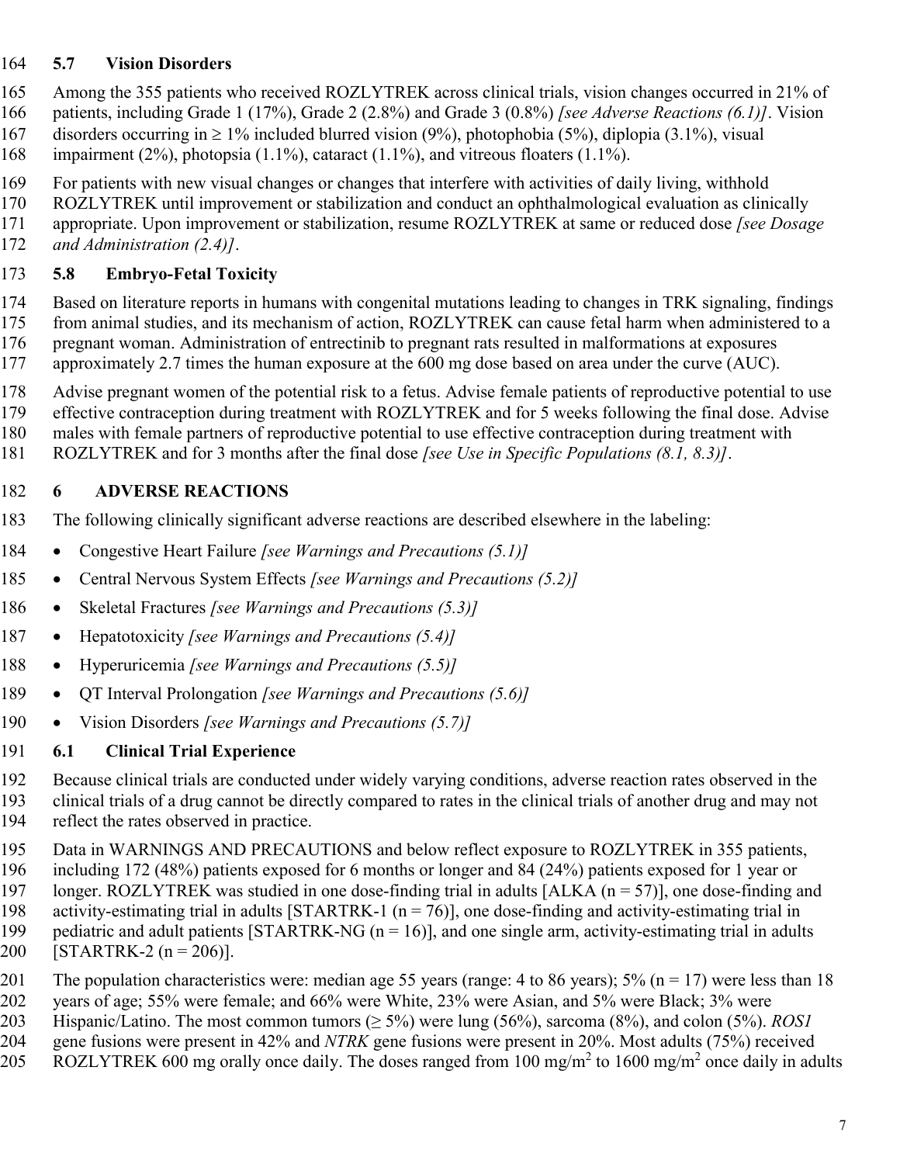## **5.7 Vision Disorders**

 Among the 355 patients who received ROZLYTREK across clinical trials, vision changes occurred in 21% of patients, including Grade 1 (17%), Grade 2 (2.8%) and Grade 3 (0.8%) *[see Adverse Reactions (6.1)]*. Vision

167 disorders occurring in  $\geq 1\%$  included blurred vision (9%), photophobia (5%), diplopia (3.1%), visual impairment (2%), photopsia (1.1%), cataract (1.1%), and vitreous floaters (1.1%).

For patients with new visual changes or changes that interfere with activities of daily living, withhold

- ROZLYTREK until improvement or stabilization and conduct an ophthalmological evaluation as clinically
- appropriate. Upon improvement or stabilization, resume ROZLYTREK at same or reduced dose *[see Dosage*
- *and Administration (2.4)]*.

## **5.8 Embryo-Fetal Toxicity**

 Based on literature reports in humans with congenital mutations leading to changes in TRK signaling, findings from animal studies, and its mechanism of action, ROZLYTREK can cause fetal harm when administered to a pregnant woman. Administration of entrectinib to pregnant rats resulted in malformations at exposures approximately 2.7 times the human exposure at the 600 mg dose based on area under the curve (AUC).

Advise pregnant women of the potential risk to a fetus. Advise female patients of reproductive potential to use

effective contraception during treatment with ROZLYTREK and for 5 weeks following the final dose. Advise

males with female partners of reproductive potential to use effective contraception during treatment with

ROZLYTREK and for 3 months after the final dose *[see Use in Specific Populations (8.1, 8.3)]*.

## **6 ADVERSE REACTIONS**

The following clinically significant adverse reactions are described elsewhere in the labeling:

- 184 Congestive Heart Failure *[see Warnings and Precautions (5.1)]*
- 185 Central Nervous System Effects [see Warnings and Precautions (5.2)]
- Skeletal Fractures *[see Warnings and Precautions (5.3)]*
- 187 Hepatotoxicity *[see Warnings and Precautions (5.4)]*
- Hyperuricemia *[see Warnings and Precautions (5.5)]*
- 189 QT Interval Prolongation *[see Warnings and Precautions (5.6)]*
- Vision Disorders *[see Warnings and Precautions (5.7)]*

## **6.1 Clinical Trial Experience**

 Because clinical trials are conducted under widely varying conditions, adverse reaction rates observed in the clinical trials of a drug cannot be directly compared to rates in the clinical trials of another drug and may not

- reflect the rates observed in practice.
- Data in WARNINGS AND PRECAUTIONS and below reflect exposure to ROZLYTREK in 355 patients,
- including 172 (48%) patients exposed for 6 months or longer and 84 (24%) patients exposed for 1 year or
- longer. ROZLYTREK was studied in one dose-finding trial in adults [ALKA (n = 57)], one dose-finding and
- 198 activity-estimating trial in adults [STARTRK-1 ( $n = 76$ )], one dose-finding and activity-estimating trial in 199 pediatric and adult patients [STARTRK-NG  $(n = 16)$ ], and one single arm, activity-estimating trial in adults
- 200 [STARTRK-2  $(n = 206)$ ].
- 201 The population characteristics were: median age 55 years (range: 4 to 86 years);  $5\%$  (n = 17) were less than 18
- years of age; 55% were female; and 66% were White, 23% were Asian, and 5% were Black; 3% were
- Hispanic/Latino. The most common tumors (≥ 5%) were lung (56%), sarcoma (8%), and colon (5%). *ROS1* gene fusions were present in 42% and *NTRK* gene fusions were present in 20%. Most adults (75%) received
- 205 ROZLYTREK 600 mg orally once daily. The doses ranged from 100 mg/m<sup>2</sup> to 1600 mg/m<sup>2</sup> once daily in adults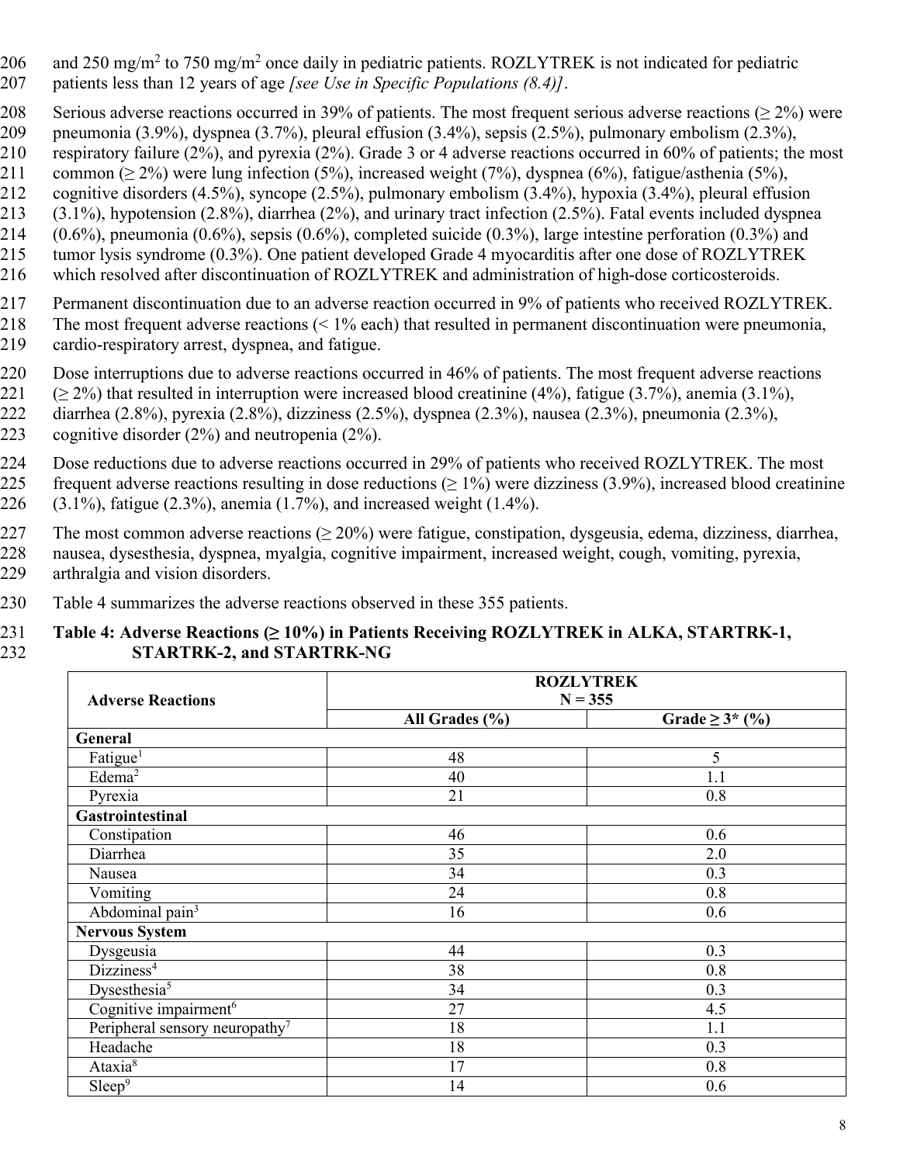- 206 and 250 mg/m<sup>2</sup> to 750 mg/m<sup>2</sup> once daily in pediatric patients. ROZLYTREK is not indicated for pediatric 207 patients less than 12 years of age *[see Use in Specific Populations (8.4)]*.
- 208 Serious adverse reactions occurred in 39% of patients. The most frequent serious adverse reactions ( $\geq 2\%$ ) were
- 209 pneumonia (3.9%), dyspnea (3.7%), pleural effusion (3.4%), sepsis (2.5%), pulmonary embolism (2.3%),
- 210 respiratory failure (2%), and pyrexia (2%). Grade 3 or 4 adverse reactions occurred in 60% of patients; the most
- 211 common ( $> 2\%$ ) were lung infection (5%), increased weight (7%), dyspnea (6%), fatigue/asthenia (5%),
- 212 cognitive disorders (4.5%), syncope (2.5%), pulmonary embolism (3.4%), hypoxia (3.4%), pleural effusion
- 213 (3.1%), hypotension (2.8%), diarrhea (2%), and urinary tract infection (2.5%). Fatal events included dyspnea
- 214 (0.6%), pneumonia (0.6%), sepsis (0.6%), completed suicide (0.3%), large intestine perforation (0.3%) and
- 215 tumor lysis syndrome (0.3%). One patient developed Grade 4 myocarditis after one dose of ROZLYTREK
- 216 which resolved after discontinuation of ROZLYTREK and administration of high-dose corticosteroids.
- 217 Permanent discontinuation due to an adverse reaction occurred in 9% of patients who received ROZLYTREK.
- 218 The most frequent adverse reactions (< 1% each) that resulted in permanent discontinuation were pneumonia,
- 219 cardio-respiratory arrest, dyspnea, and fatigue.
- 220 Dose interruptions due to adverse reactions occurred in 46% of patients. The most frequent adverse reactions
- 221 ( $\geq$  2%) that resulted in interruption were increased blood creatinine (4%), fatigue (3.7%), anemia (3.1%),
- 222 diarrhea (2.8%), pyrexia (2.8%), dizziness (2.5%), dyspnea (2.3%), nausea (2.3%), pneumonia (2.3%), 223 cognitive disorder (2%) and neutropenia (2%).
- 224 Dose reductions due to adverse reactions occurred in 29% of patients who received ROZLYTREK. The most 225 frequent adverse reactions resulting in dose reductions  $(≥ 1%)$  were dizziness (3.9%), increased blood creatinine 226 (3.1%), fatigue (2.3%), anemia (1.7%), and increased weight (1.4%).
- 227 The most common adverse reactions ( $\geq 20\%$ ) were fatigue, constipation, dysgeusia, edema, dizziness, diarrhea, 228 nausea, dysesthesia, dyspnea, myalgia, cognitive impairment, increased weight, cough, vomiting, pyrexia,
- 229 arthralgia and vision disorders.
	- 230 Table 4 summarizes the adverse reactions observed in these 355 patients.

#### 231 **Table 4: Adverse Reactions (≥ 10%) in Patients Receiving ROZLYTREK in ALKA, STARTRK-1,**  232 **STARTRK-2, and STARTRK-NG**

|                                            |                | <b>ROZLYTREK</b>     |
|--------------------------------------------|----------------|----------------------|
| <b>Adverse Reactions</b>                   | $N = 355$      |                      |
|                                            | All Grades (%) | Grade $\geq 3^*$ (%) |
| General                                    |                |                      |
| Fatigue <sup>1</sup>                       | 48             | 5                    |
| Edema <sup>2</sup>                         | 40             | 1.1                  |
| Pyrexia                                    | 21             | 0.8                  |
| Gastrointestinal                           |                |                      |
| Constipation                               | 46             | 0.6                  |
| Diarrhea                                   | 35             | 2.0                  |
| Nausea                                     | 34             | 0.3                  |
| Vomiting                                   | 24             | 0.8                  |
| Abdominal pain <sup>3</sup>                | 16             | 0.6                  |
| <b>Nervous System</b>                      |                |                      |
| Dysgeusia                                  | 44             | 0.3                  |
| Dizziness <sup>4</sup>                     | 38             | 0.8                  |
| Dysesthesia <sup>5</sup>                   | 34             | 0.3                  |
| Cognitive impairment <sup>6</sup>          | 27             | 4.5                  |
| Peripheral sensory neuropathy <sup>7</sup> | 18             | 1.1                  |
| Headache                                   | 18             | 0.3                  |
| Ataxia <sup>8</sup>                        | 17             | 0.8                  |
| Sleep <sup>9</sup>                         | 14             | 0.6                  |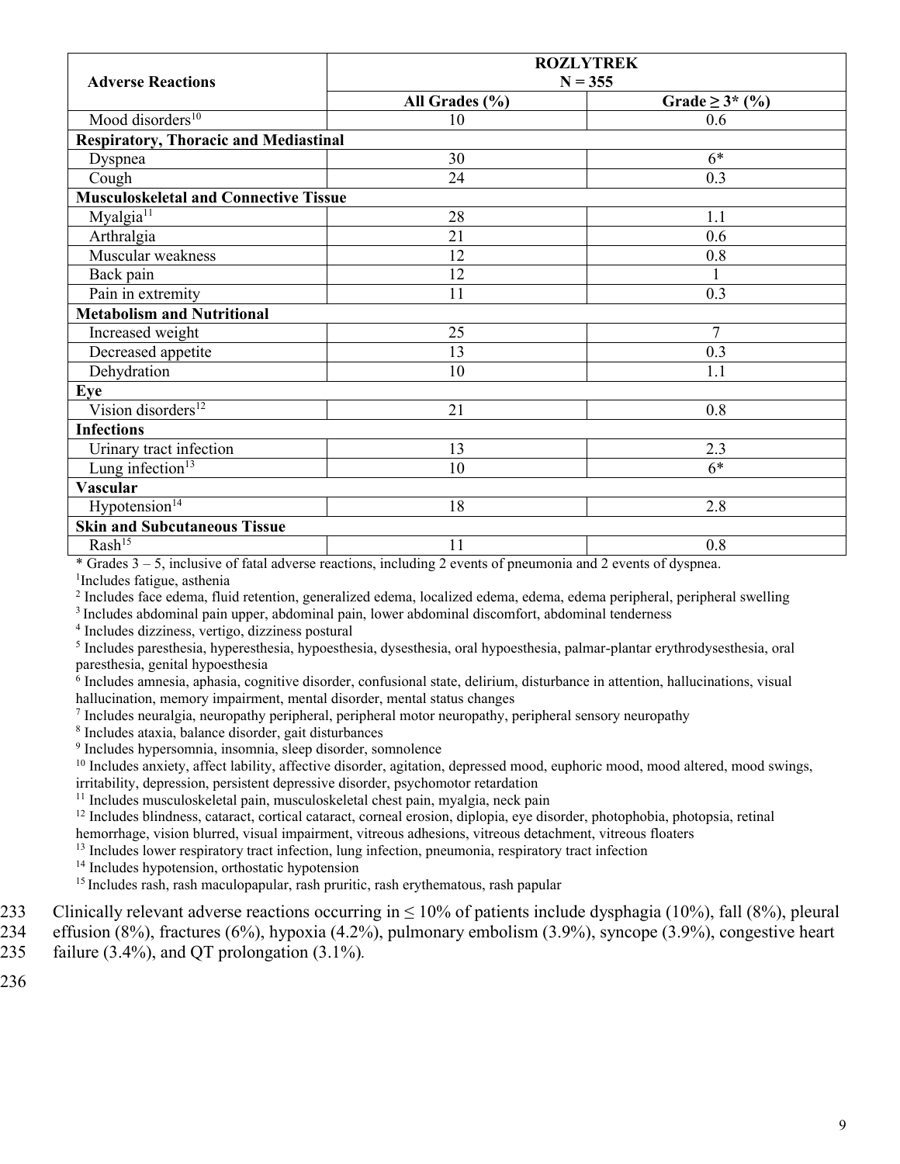|                                              | <b>ROZLYTREK</b> |                      |
|----------------------------------------------|------------------|----------------------|
| <b>Adverse Reactions</b>                     | $N = 355$        |                      |
|                                              | All Grades (%)   | Grade $\geq 3^*$ (%) |
| Mood disorders <sup>10</sup>                 | 10               | 0.6                  |
| <b>Respiratory, Thoracic and Mediastinal</b> |                  |                      |
| Dyspnea                                      | 30               | $6*$                 |
| Cough                                        | 24               | 0.3                  |
| <b>Musculoskeletal and Connective Tissue</b> |                  |                      |
| Myalgia <sup>11</sup>                        | 28               | 1.1                  |
| Arthralgia                                   | 21               | 0.6                  |
| Muscular weakness                            | 12               | 0.8                  |
| Back pain                                    | 12               |                      |
| Pain in extremity                            | 11               | 0.3                  |
| <b>Metabolism and Nutritional</b>            |                  |                      |
| Increased weight                             | 25               | 7                    |
| Decreased appetite                           | 13               | 0.3                  |
| Dehydration                                  | 10               | 1.1                  |
| Eye                                          |                  |                      |
| Vision disorders <sup>12</sup>               | 21               | 0.8                  |
| <b>Infections</b>                            |                  |                      |
| Urinary tract infection                      | 13               | 2.3                  |
| Lung infection $13$                          | 10               | $6*$                 |
| <b>Vascular</b>                              |                  |                      |
| Hypotension <sup>14</sup>                    | 18               | 2.8                  |
| <b>Skin and Subcutaneous Tissue</b>          |                  |                      |
| $Rash^{15}$                                  | 11               | 0.8                  |

\* Grades 3 – 5, inclusive of fatal adverse reactions, including 2 events of pneumonia and 2 events of dyspnea.

1 Includes fatigue, asthenia

2 Includes face edema, fluid retention, generalized edema, localized edema, edema, edema peripheral, peripheral swelling

<sup>3</sup>Includes abdominal pain upper, abdominal pain, lower abdominal discomfort, abdominal tenderness

4 Includes dizziness, vertigo, dizziness postural

5 Includes paresthesia, hyperesthesia, hypoesthesia, dysesthesia, oral hypoesthesia, palmar-plantar erythrodysesthesia, oral paresthesia, genital hypoesthesia

6 Includes amnesia, aphasia, cognitive disorder, confusional state, delirium, disturbance in attention, hallucinations, visual hallucination, memory impairment, mental disorder, mental status changes

<sup>7</sup> Includes neuralgia, neuropathy peripheral, peripheral motor neuropathy, peripheral sensory neuropathy

8 Includes ataxia, balance disorder, gait disturbances

9 Includes hypersomnia, insomnia, sleep disorder, somnolence

 $10$  Includes anxiety, affect lability, affective disorder, agitation, depressed mood, euphoric mood, mood altered, mood swings, irritability, depression, persistent depressive disorder, psychomotor retardation

<sup>11</sup> Includes musculoskeletal pain, musculoskeletal chest pain, myalgia, neck pain

<sup>12</sup> Includes blindness, cataract, cortical cataract, corneal erosion, diplopia, eye disorder, photophobia, photopsia, retinal hemorrhage, vision blurred, visual impairment, vitreous adhesions, vitreous detachment, vitreous floaters

<sup>13</sup> Includes lower respiratory tract infection, lung infection, pneumonia, respiratory tract infection

<sup>14</sup> Includes hypotension, orthostatic hypotension

<sup>15</sup> Includes rash, rash maculopapular, rash pruritic, rash erythematous, rash papular

- 
- Clinically relevant adverse reactions occurring in  $\leq 10\%$  of patients include dysphagia (10%), fall (8%), pleural<br>234 ffusion (8%), fractures (6%), hypoxia (4.2%), pulmonary embolism (3.9%), syncope (3.9%), congestive effusion  $(8\%)$ , fractures  $(6\%)$ , hypoxia  $(4.2\%)$ , pulmonary embolism  $(3.9\%)$ , syncope  $(3.9\%)$ , congestive heart
- 235 failure (3.4%), and QT prolongation (3.1%)*.*

236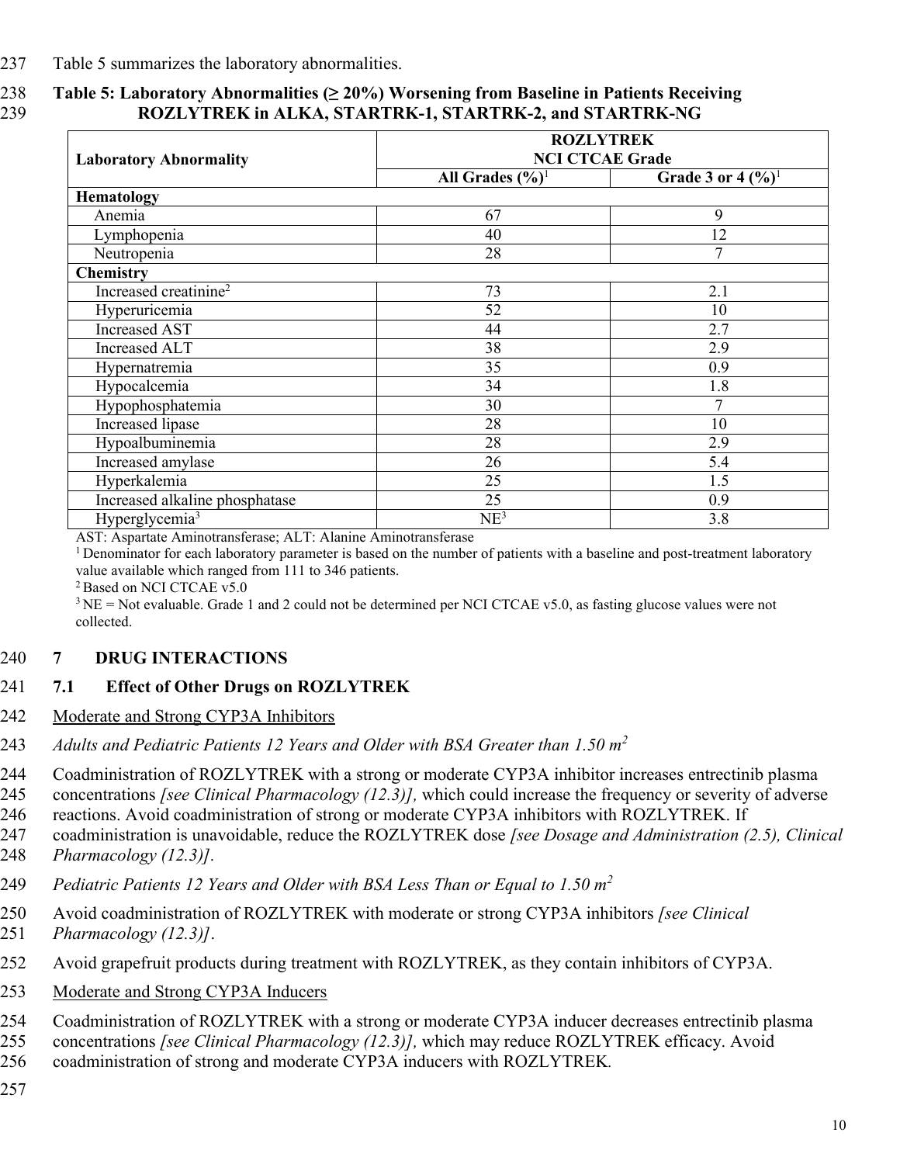237 Table 5 summarizes the laboratory abnormalities.

#### 238 **Table 5: Laboratory Abnormalities (≥ 20%) Worsening from Baseline in Patients Receiving**  239 **ROZLYTREK in ALKA, STARTRK-1, STARTRK-2, and STARTRK-NG**

|                                                         | <b>ROZLYTREK</b>             |                                |
|---------------------------------------------------------|------------------------------|--------------------------------|
| <b>NCI CTCAE Grade</b><br><b>Laboratory Abnormality</b> |                              |                                |
|                                                         | All Grades $(\frac{9}{6})^1$ | Grade 3 or 4 $(\frac{9}{0})^1$ |
| Hematology                                              |                              |                                |
| Anemia                                                  | 67                           | 9                              |
| Lymphopenia                                             | 40                           | 12                             |
| Neutropenia                                             | 28                           | 7                              |
| <b>Chemistry</b>                                        |                              |                                |
| Increased creatinine <sup>2</sup>                       | 73                           | 2.1                            |
| Hyperuricemia                                           | 52                           | 10                             |
| <b>Increased AST</b>                                    | 44                           | 2.7                            |
| <b>Increased ALT</b>                                    | 38                           | 2.9                            |
| Hypernatremia                                           | 35                           | 0.9                            |
| Hypocalcemia                                            | 34                           | 1.8                            |
| Hypophosphatemia                                        | 30                           | 7                              |
| Increased lipase                                        | 28                           | 10                             |
| Hypoalbuminemia                                         | 28                           | 2.9                            |
| Increased amylase                                       | 26                           | 5.4                            |
| Hyperkalemia                                            | 25                           | 1.5                            |
| Increased alkaline phosphatase                          | 25                           | 0.9                            |
| Hyperglycemia <sup>3</sup>                              | NE <sup>3</sup>              | 3.8                            |

AST: Aspartate Aminotransferase; ALT: Alanine Aminotransferase

<sup>1</sup> Denominator for each laboratory parameter is based on the number of patients with a baseline and post-treatment laboratory value available which ranged from 111 to 346 patients.

<sup>2</sup> Based on NCI CTCAE v5.0

 $3 NE = Not evaluate$ . Grade 1 and 2 could not be determined per NCI CTCAE v5.0, as fasting glucose values were not collected.

#### 240 **7 DRUG INTERACTIONS**

#### 241 **7.1 Effect of Other Drugs on ROZLYTREK**

- 242 Moderate and Strong CYP3A Inhibitors
- *Adults and Pediatric Patients 12 Years and Older with BSA Greater than 1.50 m 2* 243
- 244 Coadministration of ROZLYTREK with a strong or moderate CYP3A inhibitor increases entrectinib plasma
- 245 concentrations *[see Clinical Pharmacology (12.3)],* which could increase the frequency or severity of adverse
- 246 reactions. Avoid coadministration of strong or moderate CYP3A inhibitors with ROZLYTREK. If
- 247 coadministration is unavoidable, reduce the ROZLYTREK dose *[see Dosage and Administration (2.5), Clinical*
- 248 *Pharmacology (12.3)].*
- *Pediatric Patients 12 Years and Older with BSA Less Than or Equal to 1.50 m 2* 249
- 250 Avoid coadministration of ROZLYTREK with moderate or strong CYP3A inhibitors *[see Clinical*
- 251 *Pharmacology (12.3)]*.
- 252 Avoid grapefruit products during treatment with ROZLYTREK, as they contain inhibitors of CYP3A.
- 253 Moderate and Strong CYP3A Inducers
- 254 Coadministration of ROZLYTREK with a strong or moderate CYP3A inducer decreases entrectinib plasma
- 255 concentrations *[see Clinical Pharmacology (12.3)],* which may reduce ROZLYTREK efficacy. Avoid
	- 256 coadministration of strong and moderate CYP3A inducers with ROZLYTREK*.*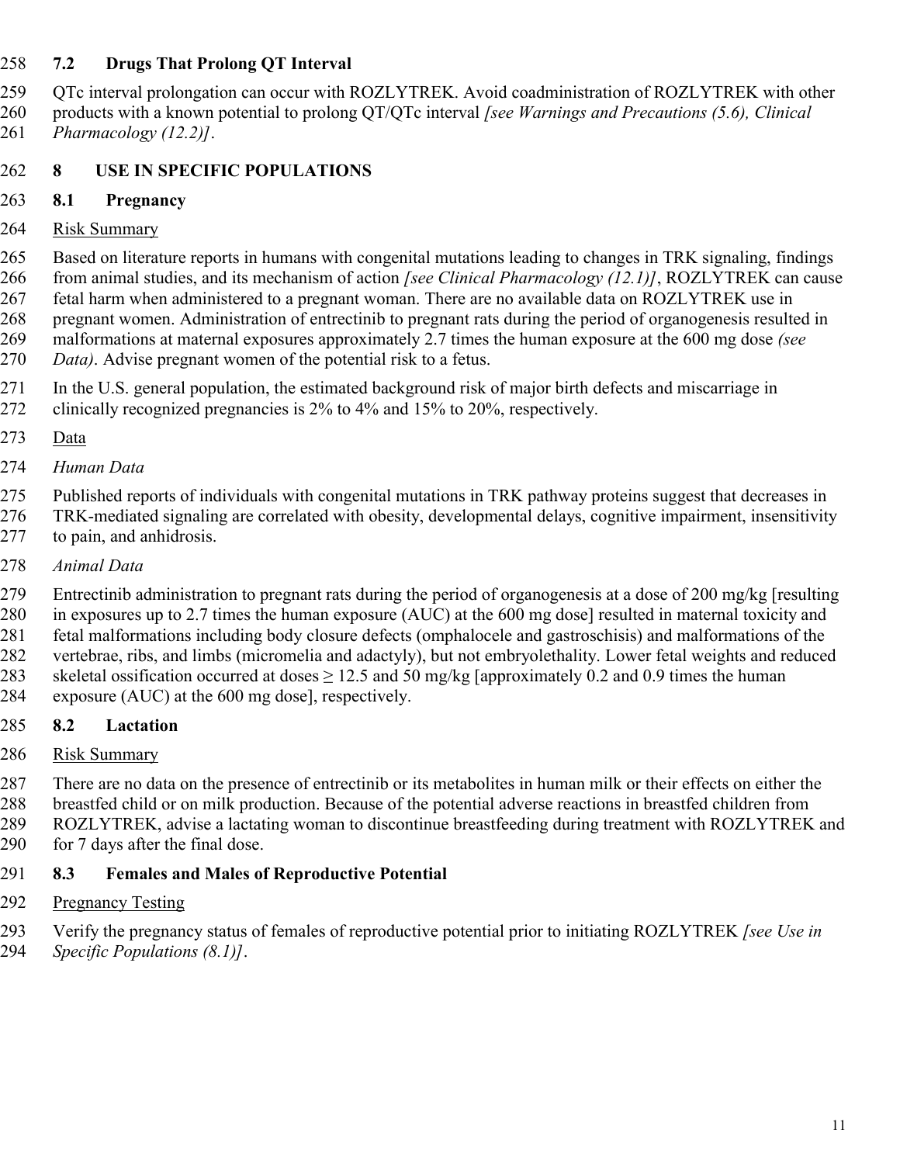#### **7.2 Drugs That Prolong QT Interval**

 QTc interval prolongation can occur with ROZLYTREK. Avoid coadministration of ROZLYTREK with other products with a known potential to prolong QT/QTc interval *[see Warnings and Precautions (5.6), Clinical Pharmacology (12.2)]*.

## **8 USE IN SPECIFIC POPULATIONS**

#### **8.1 Pregnancy**

#### 264 Risk Summary

 Based on literature reports in humans with congenital mutations leading to changes in TRK signaling, findings from animal studies, and its mechanism of action *[see Clinical Pharmacology (12.1)]*, ROZLYTREK can cause fetal harm when administered to a pregnant woman. There are no available data on ROZLYTREK use in pregnant women. Administration of entrectinib to pregnant rats during the period of organogenesis resulted in malformations at maternal exposures approximately 2.7 times the human exposure at the 600 mg dose *(see Data)*. Advise pregnant women of the potential risk to a fetus.

 In the U.S. general population, the estimated background risk of major birth defects and miscarriage in clinically recognized pregnancies is 2% to 4% and 15% to 20%, respectively.

- Data
- *Human Data*

 Published reports of individuals with congenital mutations in TRK pathway proteins suggest that decreases in TRK-mediated signaling are correlated with obesity, developmental delays, cognitive impairment, insensitivity to pain, and anhidrosis.

*Animal Data*

 Entrectinib administration to pregnant rats during the period of organogenesis at a dose of 200 mg/kg [resulting in exposures up to 2.7 times the human exposure (AUC) at the 600 mg dose] resulted in maternal toxicity and fetal malformations including body closure defects (omphalocele and gastroschisis) and malformations of the vertebrae, ribs, and limbs (micromelia and adactyly), but not embryolethality. Lower fetal weights and reduced 283 skeletal ossification occurred at doses  $\geq 12.5$  and 50 mg/kg [approximately 0.2 and 0.9 times the human exposure (AUC) at the 600 mg dose], respectively.

- **8.2 Lactation**
- Risk Summary

 There are no data on the presence of entrectinib or its metabolites in human milk or their effects on either the breastfed child or on milk production. Because of the potential adverse reactions in breastfed children from ROZLYTREK, advise a lactating woman to discontinue breastfeeding during treatment with ROZLYTREK and 290 for 7 days after the final dose.

#### **8.3 Females and Males of Reproductive Potential**

#### 292 Pregnancy Testing

 Verify the pregnancy status of females of reproductive potential prior to initiating ROZLYTREK *[see Use in Specific Populations (8.1)]*.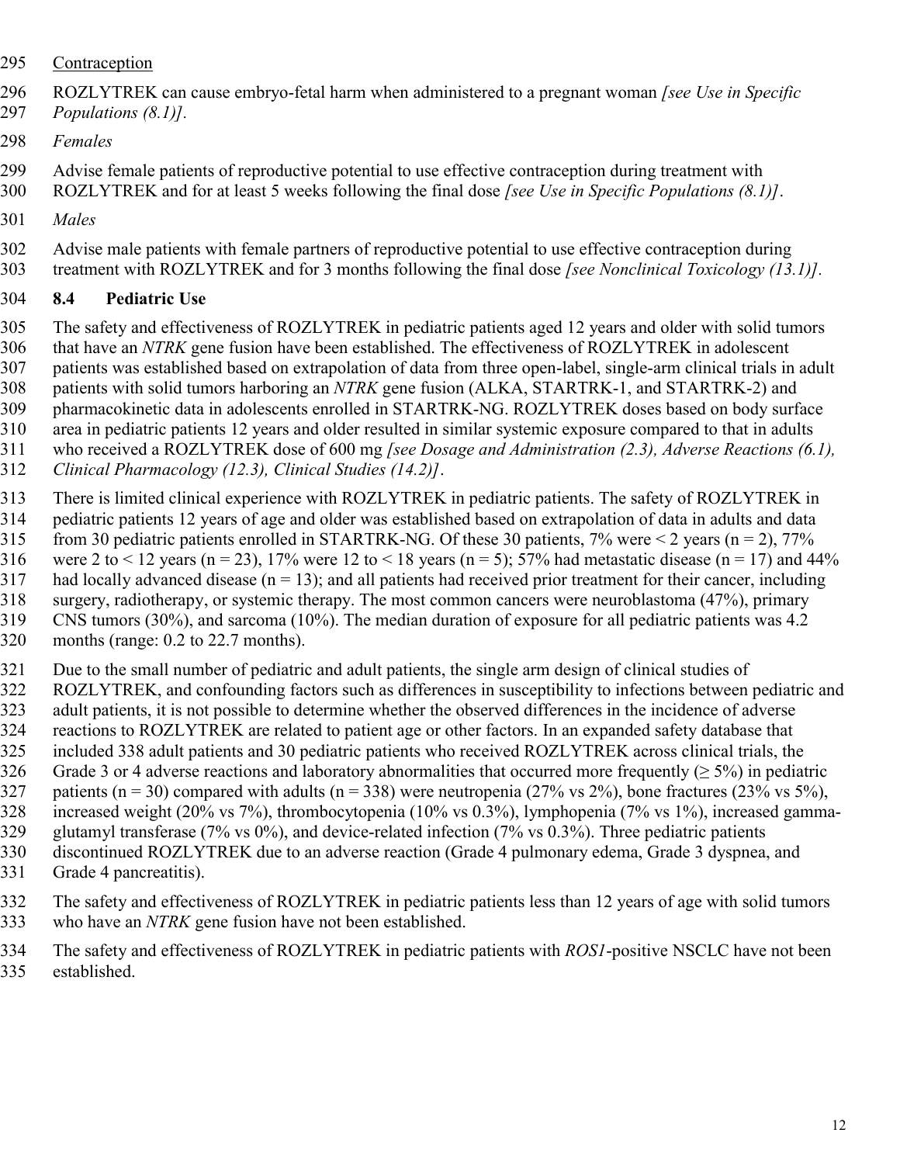- Contraception
- ROZLYTREK can cause embryo-fetal harm when administered to a pregnant woman *[see Use in Specific*
- *Populations (8.1)].*
- *Females*
- Advise female patients of reproductive potential to use effective contraception during treatment with
- ROZLYTREK and for at least 5 weeks following the final dose *[see Use in Specific Populations (8.1)]*.
- *Males*
- Advise male patients with female partners of reproductive potential to use effective contraception during treatment with ROZLYTREK and for 3 months following the final dose *[see Nonclinical Toxicology (13.1)].*

## **8.4 Pediatric Use**

- The safety and effectiveness of ROZLYTREK in pediatric patients aged 12 years and older with solid tumors that have an *NTRK* gene fusion have been established. The effectiveness of ROZLYTREK in adolescent patients was established based on extrapolation of data from three open-label, single-arm clinical trials in adult
- patients with solid tumors harboring an *NTRK* gene fusion (ALKA, STARTRK-1, and STARTRK-2) and
- pharmacokinetic data in adolescents enrolled in STARTRK-NG. ROZLYTREK doses based on body surface area in pediatric patients 12 years and older resulted in similar systemic exposure compared to that in adults
- who received a ROZLYTREK dose of 600 mg *[see Dosage and Administration (2.3), Adverse Reactions (6.1),*
- *Clinical Pharmacology (12.3), Clinical Studies (14.2)]*.
- There is limited clinical experience with ROZLYTREK in pediatric patients. The safety of ROZLYTREK in
- pediatric patients 12 years of age and older was established based on extrapolation of data in adults and data
- 315 from 30 pediatric patients enrolled in STARTRK-NG. Of these 30 patients, 7% were  $\leq$  2 years (n = 2), 77%
- 316 were 2 to < 12 years (n = 23), 17% were 12 to < 18 years (n = 5); 57% had metastatic disease (n = 17) and 44%
- 317 had locally advanced disease  $(n = 13)$ ; and all patients had received prior treatment for their cancer, including surgery, radiotherapy, or systemic therapy. The most common cancers were neuroblastoma (47%), primary
- CNS tumors (30%), and sarcoma (10%). The median duration of exposure for all pediatric patients was 4.2
- months (range: 0.2 to 22.7 months).
- Due to the small number of pediatric and adult patients, the single arm design of clinical studies of
- ROZLYTREK, and confounding factors such as differences in susceptibility to infections between pediatric and
	- adult patients, it is not possible to determine whether the observed differences in the incidence of adverse reactions to ROZLYTREK are related to patient age or other factors. In an expanded safety database that
- included 338 adult patients and 30 pediatric patients who received ROZLYTREK across clinical trials, the
- 326 Grade 3 or 4 adverse reactions and laboratory abnormalities that occurred more frequently ( $\geq$  5%) in pediatric
- 327 patients (n = 30) compared with adults (n = 338) were neutropenia (27% vs 2%), bone fractures (23% vs 5%),
- increased weight (20% vs 7%), thrombocytopenia (10% vs 0.3%), lymphopenia (7% vs 1%), increased gamma-
- glutamyl transferase (7% vs 0%), and device-related infection (7% vs 0.3%). Three pediatric patients discontinued ROZLYTREK due to an adverse reaction (Grade 4 pulmonary edema, Grade 3 dyspnea, and
- Grade 4 pancreatitis).
- The safety and effectiveness of ROZLYTREK in pediatric patients less than 12 years of age with solid tumors who have an *NTRK* gene fusion have not been established.
- The safety and effectiveness of ROZLYTREK in pediatric patients with *ROS1*-positive NSCLC have not been established.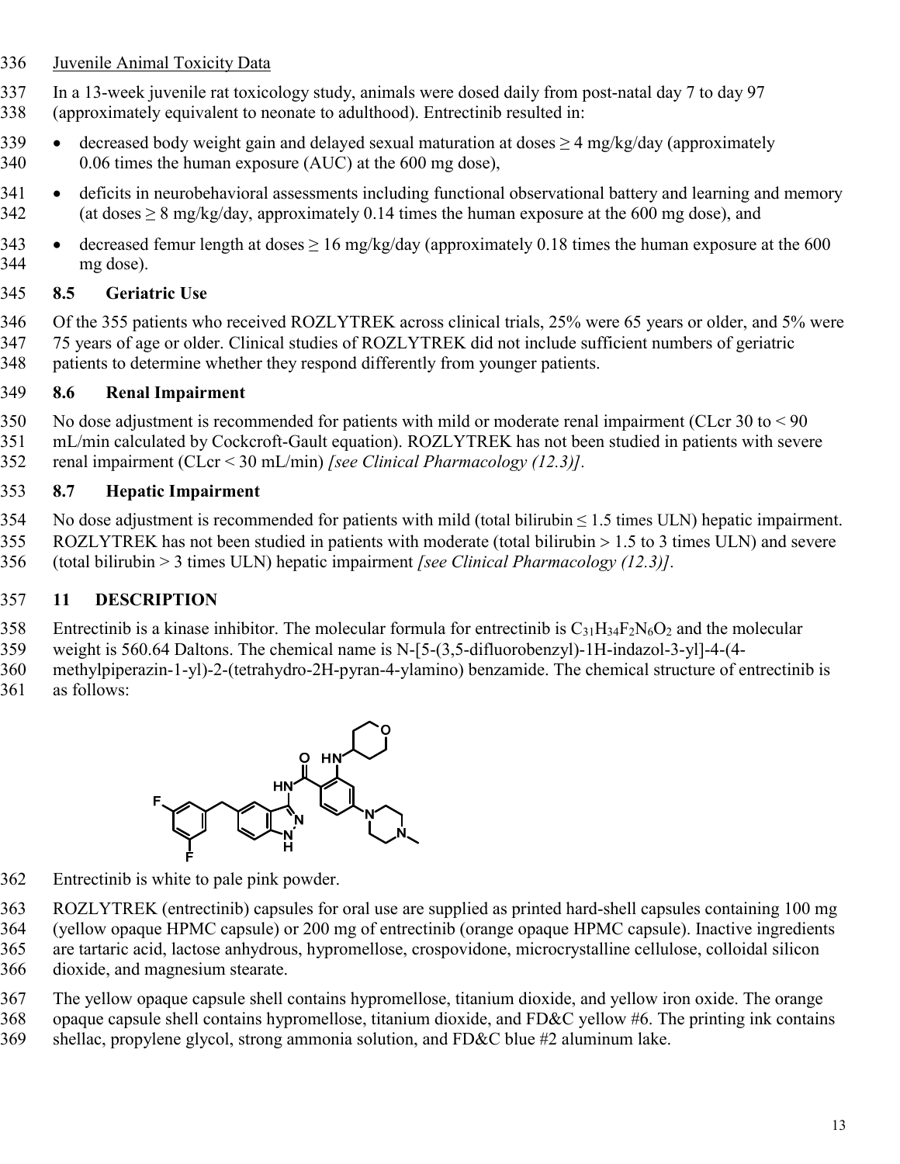#### Juvenile Animal Toxicity Data

In a 13-week juvenile rat toxicology study, animals were dosed daily from post-natal day 7 to day 97

- (approximately equivalent to neonate to adulthood). Entrectinib resulted in:
- 339 decreased body weight gain and delayed sexual maturation at doses  $\geq 4$  mg/kg/day (approximately 0.06 times the human exposure (AUC) at the 600 mg dose),
- 341 . deficits in neurobehavioral assessments including functional observational battery and learning and memory 342 (at doses  $\geq 8$  mg/kg/day, approximately 0.14 times the human exposure at the 600 mg dose), and
- 343 decreased femur length at doses  $\geq 16$  mg/kg/day (approximately 0.18 times the human exposure at the 600 mg dose).

#### **8.5 Geriatric Use**

 Of the 355 patients who received ROZLYTREK across clinical trials, 25% were 65 years or older, and 5% were 75 years of age or older. Clinical studies of ROZLYTREK did not include sufficient numbers of geriatric patients to determine whether they respond differently from younger patients.

#### **8.6 Renal Impairment**

- No dose adjustment is recommended for patients with mild or moderate renal impairment (CLcr 30 to < 90
- mL/min calculated by Cockcroft-Gault equation). ROZLYTREK has not been studied in patients with severe
- renal impairment (CLcr < 30 mL/min) *[see Clinical Pharmacology (12.3)].*

#### **8.7 Hepatic Impairment**

354 No dose adjustment is recommended for patients with mild (total bilirubin  $\leq 1.5$  times ULN) hepatic impairment. ROZLYTREK has not been studied in patients with moderate (total bilirubin 1.5 to 3 times ULN) and severe (total bilirubin > 3 times ULN) hepatic impairment *[see Clinical Pharmacology (12.3)].*

## **11 DESCRIPTION**

- 358 Entrectinib is a kinase inhibitor. The molecular formula for entrectinib is  $C_{31}H_{34}F_2N_6O_2$  and the molecular
- weight is 560.64 Daltons. The chemical name is N-[5-(3,5-difluorobenzyl)-1H-indazol-3-yl]-4-(4-
- methylpiperazin-1-yl)-2-(tetrahydro-2H-pyran-4-ylamino) benzamide. The chemical structure of entrectinib is as follows:



- Entrectinib is white to pale pink powder.
- ROZLYTREK (entrectinib) capsules for oral use are supplied as printed hard-shell capsules containing 100 mg
- (yellow opaque HPMC capsule) or 200 mg of entrectinib (orange opaque HPMC capsule). Inactive ingredients
- are tartaric acid, lactose anhydrous, hypromellose, crospovidone, microcrystalline cellulose, colloidal silicon
- dioxide, and magnesium stearate.
- The yellow opaque capsule shell contains hypromellose, titanium dioxide, and yellow iron oxide. The orange
- opaque capsule shell contains hypromellose, titanium dioxide, and FD&C yellow #6. The printing ink contains
- shellac, propylene glycol, strong ammonia solution, and FD&C blue #2 aluminum lake.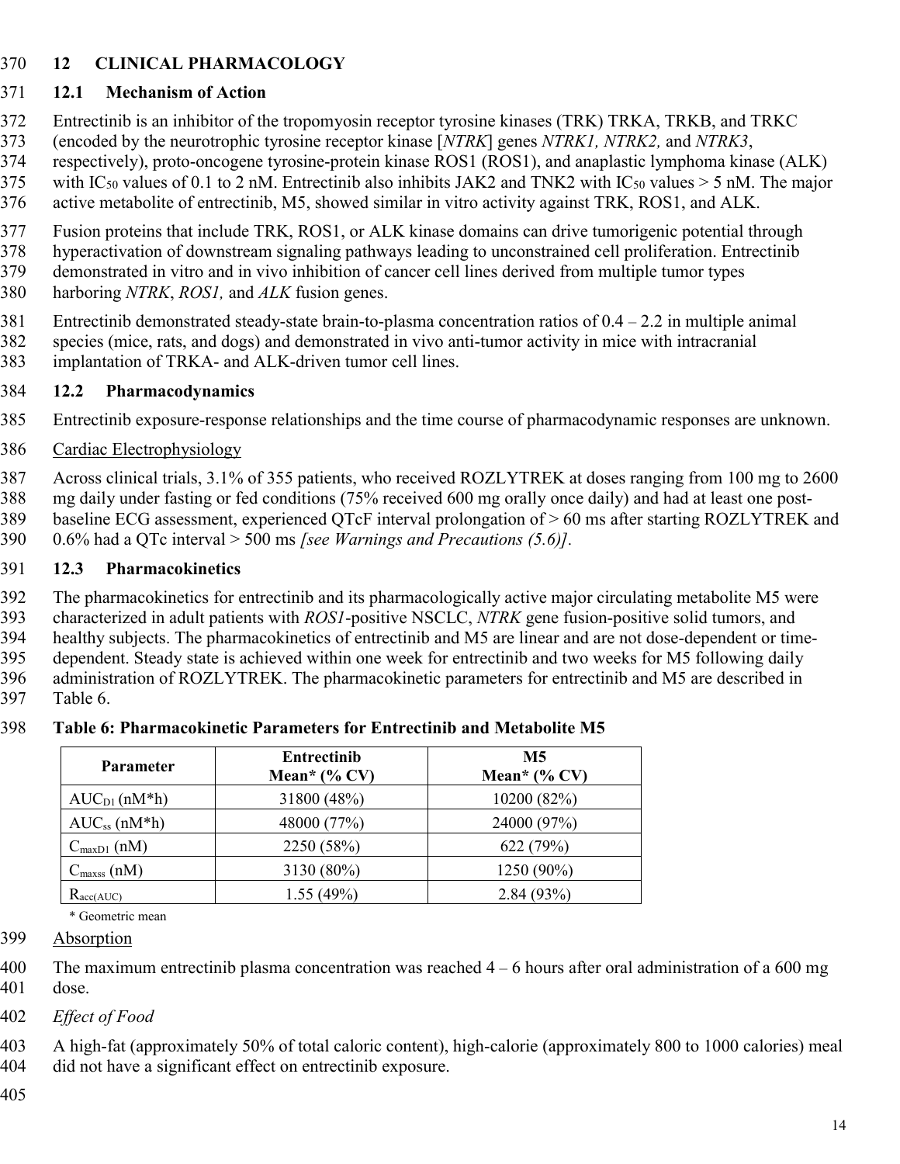## **12 CLINICAL PHARMACOLOGY**

# **12.1 Mechanism of Action**

- Entrectinib is an inhibitor of the tropomyosin receptor tyrosine kinases (TRK) TRKA, TRKB, and TRKC
- (encoded by the neurotrophic tyrosine receptor kinase [*NTRK*] genes *NTRK1, NTRK2,* and *NTRK3*,
- respectively), proto-oncogene tyrosine-protein kinase ROS1 (ROS1), and anaplastic lymphoma kinase (ALK)
- 375 with IC<sub>50</sub> values of 0.1 to 2 nM. Entrectinib also inhibits JAK2 and TNK2 with IC<sub>50</sub> values > 5 nM. The major
- active metabolite of entrectinib, M5, showed similar in vitro activity against TRK, ROS1, and ALK.
- Fusion proteins that include TRK, ROS1, or ALK kinase domains can drive tumorigenic potential through
- hyperactivation of downstream signaling pathways leading to unconstrained cell proliferation. Entrectinib
- demonstrated in vitro and in vivo inhibition of cancer cell lines derived from multiple tumor types harboring *NTRK*, *ROS1,* and *ALK* fusion genes.
- Entrectinib demonstrated steady-state brain-to-plasma concentration ratios of 0.4 2.2 in multiple animal species (mice, rats, and dogs) and demonstrated in vivo anti-tumor activity in mice with intracranial
- implantation of TRKA- and ALK-driven tumor cell lines.

# **12.2 Pharmacodynamics**

- Entrectinib exposure-response relationships and the time course of pharmacodynamic responses are unknown.
- 386 Cardiac Electrophysiology

 Across clinical trials, 3.1% of 355 patients, who received ROZLYTREK at doses ranging from 100 mg to 2600 mg daily under fasting or fed conditions (75% received 600 mg orally once daily) and had at least one post- baseline ECG assessment, experienced QTcF interval prolongation of > 60 ms after starting ROZLYTREK and 0.6% had a QTc interval > 500 ms *[see Warnings and Precautions (5.6)].*

# **12.3 Pharmacokinetics**

 The pharmacokinetics for entrectinib and its pharmacologically active major circulating metabolite M5 were characterized in adult patients with *ROS1*-positive NSCLC, *NTRK* gene fusion-positive solid tumors, and healthy subjects. The pharmacokinetics of entrectinib and M5 are linear and are not dose-dependent or time- dependent. Steady state is achieved within one week for entrectinib and two weeks for M5 following daily administration of ROZLYTREK. The pharmacokinetic parameters for entrectinib and M5 are described in Table 6.

| <b>Parameter</b>        | <b>Entrectinib</b><br>Mean* $(\%$ CV) | M5<br>Mean* $(\%$ CV) |
|-------------------------|---------------------------------------|-----------------------|
| $AUC_{D1}(nM*h)$        | 31800 (48%)                           | 10200 (82%)           |
| $AUC_{ss}$ (n $M^*h$ )  | 48000 (77%)                           | 24000 (97%)           |
| $C_{\text{maxD1}}$ (nM) | 2250 (58%)                            | 622 (79%)             |
| $C_{\text{maxss}}(nM)$  | 3130 (80%)                            | 1250 (90%)            |
| $R_{\text{acc}(AUC)}$   | 1.55(49%)                             | 2.84(93%)             |

# **Table 6: Pharmacokinetic Parameters for Entrectinib and Metabolite M5**

\* Geometric mean

Absorption

- 400 The maximum entrectinib plasma concentration was reached 4 6 hours after oral administration of a 600 mg dose.
- *Effect of Food*

 A high-fat (approximately 50% of total caloric content), high-calorie (approximately 800 to 1000 calories) meal did not have a significant effect on entrectinib exposure.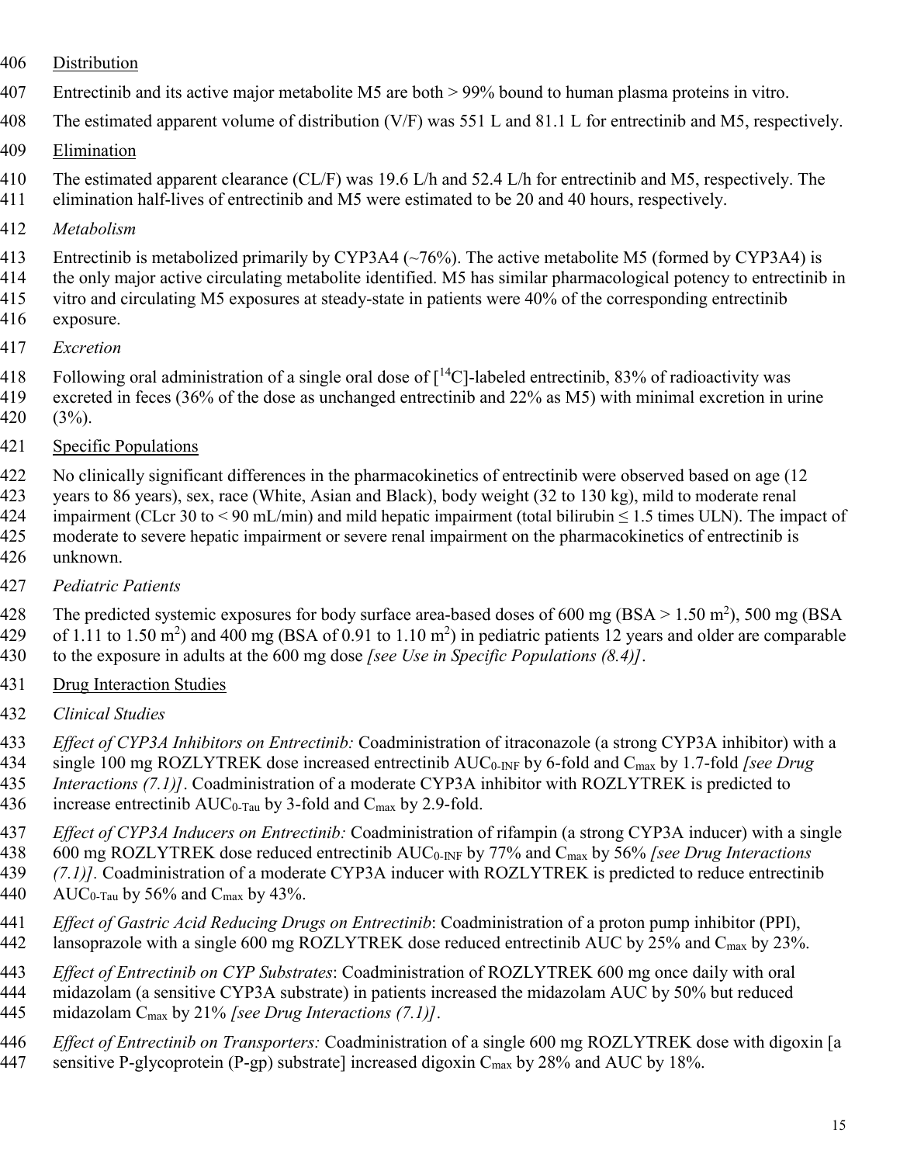- Distribution
- Entrectinib and its active major metabolite M5 are both > 99% bound to human plasma proteins in vitro.
- The estimated apparent volume of distribution (V/F) was 551 L and 81.1 L for entrectinib and M5, respectively.
- Elimination
- 410 The estimated apparent clearance (CL/F) was 19.6 L/h and 52.4 L/h for entrectinib and M5, respectively. The elimination half-lives of entrectinib and M5 were estimated to be 20 and 40 hours, respectively.
- *Metabolism*
- Entrectinib is metabolized primarily by CYP3A4 (~76%). The active metabolite M5 (formed by CYP3A4) is
- the only major active circulating metabolite identified. M5 has similar pharmacological potency to entrectinib in vitro and circulating M5 exposures at steady-state in patients were 40% of the corresponding entrectinib
- exposure.
- *Excretion*
- 418 Following oral administration of a single oral dose of  $\lceil {^{14}C} \rceil$ -labeled entrectinib, 83% of radioactivity was
- excreted in feces (36% of the dose as unchanged entrectinib and 22% as M5) with minimal excretion in urine
- (3%).
- Specific Populations

No clinically significant differences in the pharmacokinetics of entrectinib were observed based on age (12

- years to 86 years), sex, race (White, Asian and Black), body weight (32 to 130 kg), mild to moderate renal 424 impairment (CLcr 30 to < 90 mL/min) and mild hepatic impairment (total bilirubin  $\leq 1.5$  times ULN). The impact of 425 moderate to severe hepatic impairment or severe renal impairment on the pharmacokinetics of entrectinib is unknown.
- *Pediatric Patients*

428 The predicted systemic exposures for body surface area-based doses of 600 mg (BSA > 1.50 m<sup>2</sup>), 500 mg (BSA 429 of 1.11 to 1.50 m<sup>2</sup>) and 400 mg (BSA of 0.91 to 1.10 m<sup>2</sup>) in pediatric patients 12 years and older are comparable to the exposure in adults at the 600 mg dose *[see Use in Specific Populations (8.4)]*.

- Drug Interaction Studies
- *Clinical Studies*
- *Effect of CYP3A Inhibitors on Entrectinib:* Coadministration of itraconazole (a strong CYP3A inhibitor) with a
- single 100 mg ROZLYTREK dose increased entrectinib AUC0-INF by 6-fold and Cmax by 1.7-fold *[see Drug*
- *Interactions (7.1)]*. Coadministration of a moderate CYP3A inhibitor with ROZLYTREK is predicted to
- 436 increase entrectinib  $AUC_{0-Tau}$  by 3-fold and  $C_{max}$  by 2.9-fold.
- *Effect of CYP3A Inducers on Entrectinib:* Coadministration of rifampin (a strong CYP3A inducer) with a single
- 600 mg ROZLYTREK dose reduced entrectinib AUC0-INF by 77% and Cmax by 56% *[see Drug Interactions (7.1)].* Coadministration of a moderate CYP3A inducer with ROZLYTREK is predicted to reduce entrectinib
- 440 AUC<sub>0-Tau</sub> by 56% and C<sub>max</sub> by 43%.
	- *Effect of Gastric Acid Reducing Drugs on Entrectinib*: Coadministration of a proton pump inhibitor (PPI), 442 lansoprazole with a single 600 mg ROZLYTREK dose reduced entrectinib AUC by 25% and C<sub>max</sub> by 23%.
	- *Effect of Entrectinib on CYP Substrates*: Coadministration of ROZLYTREK 600 mg once daily with oral
	- midazolam (a sensitive CYP3A substrate) in patients increased the midazolam AUC by 50% but reduced midazolam Cmax by 21% *[see Drug Interactions (7.1)]*.
	- *Effect of Entrectinib on Transporters:* Coadministration of a single 600 mg ROZLYTREK dose with digoxin [a
	- 447 sensitive P-glycoprotein (P-gp) substrate] increased digoxin  $C_{\text{max}}$  by 28% and AUC by 18%.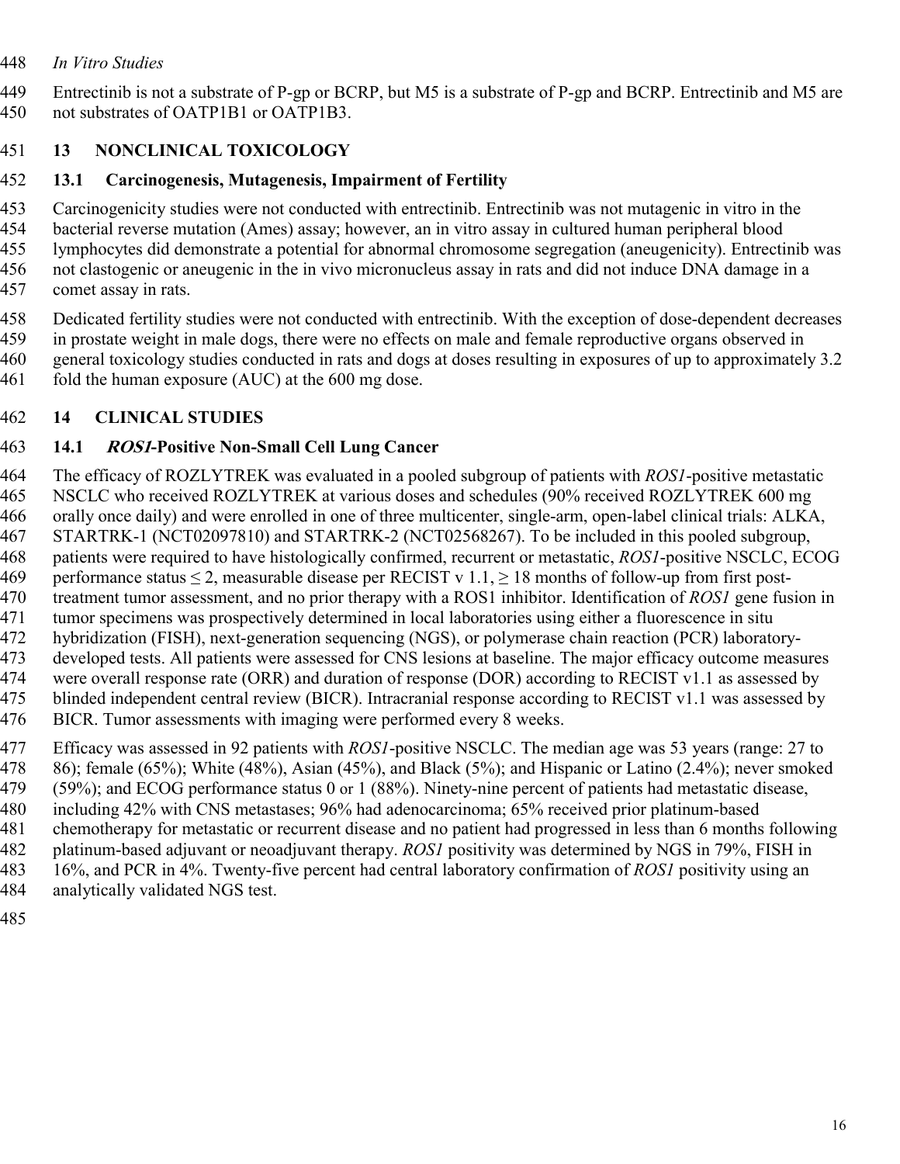#### *In Vitro Studies*

 Entrectinib is not a substrate of P-gp or BCRP, but M5 is a substrate of P-gp and BCRP. Entrectinib and M5 are not substrates of OATP1B1 or OATP1B3.

## **13 NONCLINICAL TOXICOLOGY**

## **13.1 Carcinogenesis, Mutagenesis, Impairment of Fertility**

Carcinogenicity studies were not conducted with entrectinib. Entrectinib was not mutagenic in vitro in the

 bacterial reverse mutation (Ames) assay; however, an in vitro assay in cultured human peripheral blood lymphocytes did demonstrate a potential for abnormal chromosome segregation (aneugenicity). Entrectinib was

not clastogenic or aneugenic in the in vivo micronucleus assay in rats and did not induce DNA damage in a

comet assay in rats.

 Dedicated fertility studies were not conducted with entrectinib. With the exception of dose-dependent decreases in prostate weight in male dogs, there were no effects on male and female reproductive organs observed in general toxicology studies conducted in rats and dogs at doses resulting in exposures of up to approximately 3.2

461 fold the human exposure (AUC) at the 600 mg dose.

## **14 CLINICAL STUDIES**

## **14.1 ROS1-Positive Non-Small Cell Lung Cancer**

 The efficacy of ROZLYTREK was evaluated in a pooled subgroup of patients with *ROS1*-positive metastatic NSCLC who received ROZLYTREK at various doses and schedules (90% received ROZLYTREK 600 mg orally once daily) and were enrolled in one of three multicenter, single-arm, open-label clinical trials: ALKA, STARTRK-1 (NCT02097810) and STARTRK-2 (NCT02568267). To be included in this pooled subgroup, patients were required to have histologically confirmed, recurrent or metastatic, *ROS1*-positive NSCLC, ECOG 469 performance status  $\leq 2$ , measurable disease per RECIST v 1.1,  $\geq 18$  months of follow-up from first post- treatment tumor assessment, and no prior therapy with a ROS1 inhibitor. Identification of *ROS1* gene fusion in tumor specimens was prospectively determined in local laboratories using either a fluorescence in situ hybridization (FISH), next-generation sequencing (NGS), or polymerase chain reaction (PCR) laboratory- developed tests. All patients were assessed for CNS lesions at baseline. The major efficacy outcome measures 474 were overall response rate (ORR) and duration of response (DOR) according to RECIST v1.1 as assessed by 475 blinded independent central review (BICR). Intracranial response according to RECIST v1.1 was assessed by BICR. Tumor assessments with imaging were performed every 8 weeks.

 Efficacy was assessed in 92 patients with *ROS1*-positive NSCLC. The median age was 53 years (range: 27 to 86); female (65%); White (48%), Asian (45%), and Black (5%); and Hispanic or Latino (2.4%); never smoked (59%); and ECOG performance status 0 or 1 (88%). Ninety-nine percent of patients had metastatic disease, including 42% with CNS metastases; 96% had adenocarcinoma; 65% received prior platinum-based chemotherapy for metastatic or recurrent disease and no patient had progressed in less than 6 months following platinum-based adjuvant or neoadjuvant therapy. *ROS1* positivity was determined by NGS in 79%, FISH in 16%, and PCR in 4%. Twenty-five percent had central laboratory confirmation of *ROS1* positivity using an

- analytically validated NGS test.
-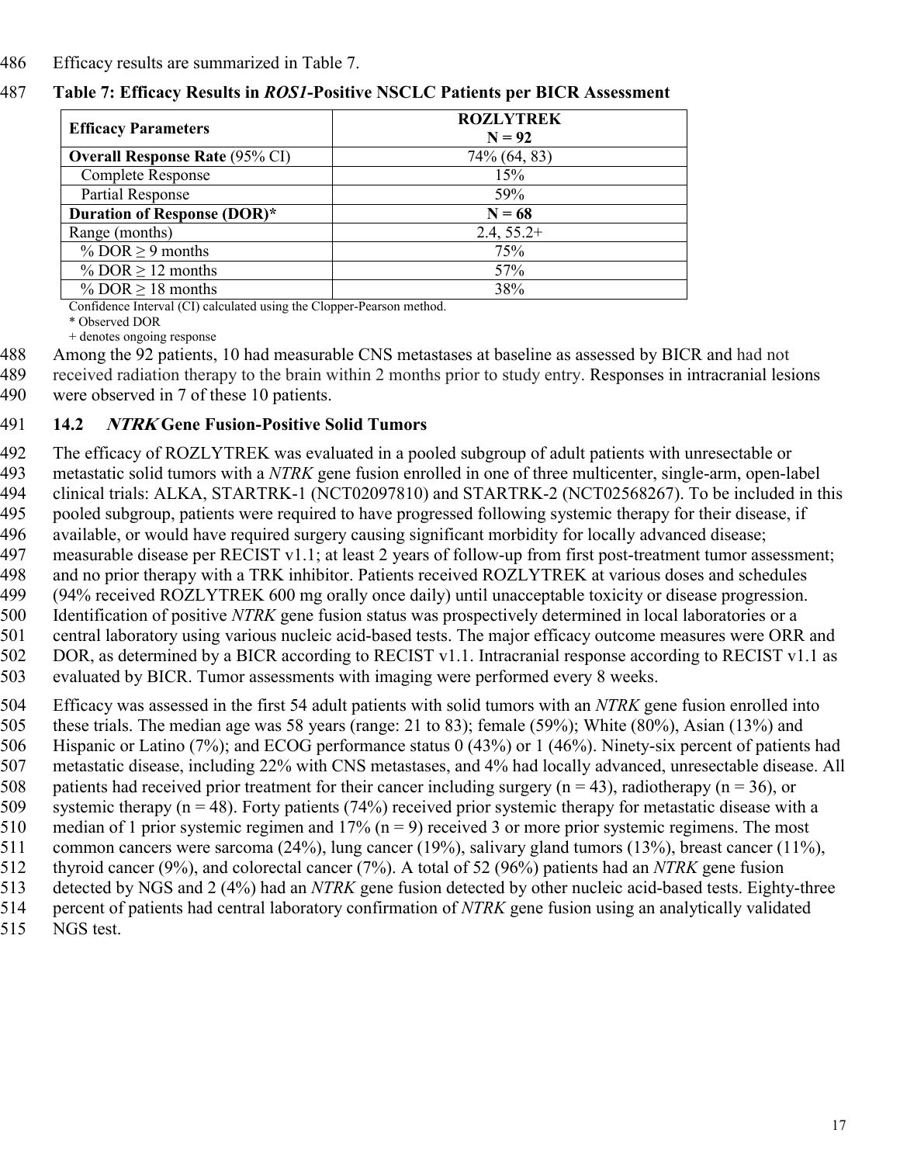#### 486 Efficacy results are summarized in Table 7.

#### 487 **Table 7: Efficacy Results in** *ROS1***-Positive NSCLC Patients per BICR Assessment**

| <b>Efficacy Parameters</b>            | <b>ROZLYTREK</b><br>$N = 92$ |
|---------------------------------------|------------------------------|
| <b>Overall Response Rate (95% CI)</b> | 74% (64, 83)                 |
| <b>Complete Response</b>              | 15%                          |
| <b>Partial Response</b>               | 59%                          |
| Duration of Response (DOR)*           | $N = 68$                     |
| Range (months)                        | $2.4, 55.2+$                 |
| % DOR $\geq$ 9 months                 | 75%                          |
| % DOR $\geq$ 12 months                | 57%                          |
| % DOR $\geq$ 18 months                | 38%                          |

Confidence Interval (CI) calculated using the Clopper-Pearson method.

\* Observed DOR

+ denotes ongoing response

488 Among the 92 patients, 10 had measurable CNS metastases at baseline as assessed by BICR and had not 489 received radiation therapy to the brain within 2 months prior to study entry. Responses in intracranial lesions 490 were observed in 7 of these 10 patients.

#### 491 **14.2 NTRK Gene Fusion-Positive Solid Tumors**

 The efficacy of ROZLYTREK was evaluated in a pooled subgroup of adult patients with unresectable or metastatic solid tumors with a *NTRK* gene fusion enrolled in one of three multicenter, single-arm, open-label clinical trials: ALKA, STARTRK-1 (NCT02097810) and STARTRK-2 (NCT02568267). To be included in this pooled subgroup, patients were required to have progressed following systemic therapy for their disease, if available, or would have required surgery causing significant morbidity for locally advanced disease; measurable disease per RECIST v1.1; at least 2 years of follow-up from first post-treatment tumor assessment; and no prior therapy with a TRK inhibitor. Patients received ROZLYTREK at various doses and schedules (94% received ROZLYTREK 600 mg orally once daily) until unacceptable toxicity or disease progression. Identification of positive *NTRK* gene fusion status was prospectively determined in local laboratories or a central laboratory using various nucleic acid-based tests. The major efficacy outcome measures were ORR and 502 DOR, as determined by a BICR according to RECIST v1.1. Intracranial response according to RECIST v1.1 as

503 evaluated by BICR. Tumor assessments with imaging were performed every 8 weeks.

504 Efficacy was assessed in the first 54 adult patients with solid tumors with an *NTRK* gene fusion enrolled into

505 these trials. The median age was 58 years (range: 21 to 83); female (59%); White (80%), Asian (13%) and 506 Hispanic or Latino (7%); and ECOG performance status 0 (43%) or 1 (46%). Ninety-six percent of patients had

507 metastatic disease, including 22% with CNS metastases, and 4% had locally advanced, unresectable disease. All

508 patients had received prior treatment for their cancer including surgery (n = 43), radiotherapy (n = 36), or systemic therapy (n = 48). Forty patients (74%) received prior systemic therapy for metastatic disease wit systemic therapy (n = 48). Forty patients (74%) received prior systemic therapy for metastatic disease with a

510 median of 1 prior systemic regimen and  $17\%$  (n = 9) received 3 or more prior systemic regimens. The most

511 common cancers were sarcoma (24%), lung cancer (19%), salivary gland tumors (13%), breast cancer (11%), thyroid cancer (9%), and colorectal cancer (7%). A total of 52 (96%) patients had an *NTRK* gene fusion 512 thyroid cancer (9%), and colorectal cancer (7%). A total of 52 (96%) patients had an *NTRK* gene fusion

513 detected by NGS and 2 (4%) had an *NTRK* gene fusion detected by other nucleic acid-based tests. Eighty-three

514 percent of patients had central laboratory confirmation of *NTRK* gene fusion using an analytically validated

515 NGS test.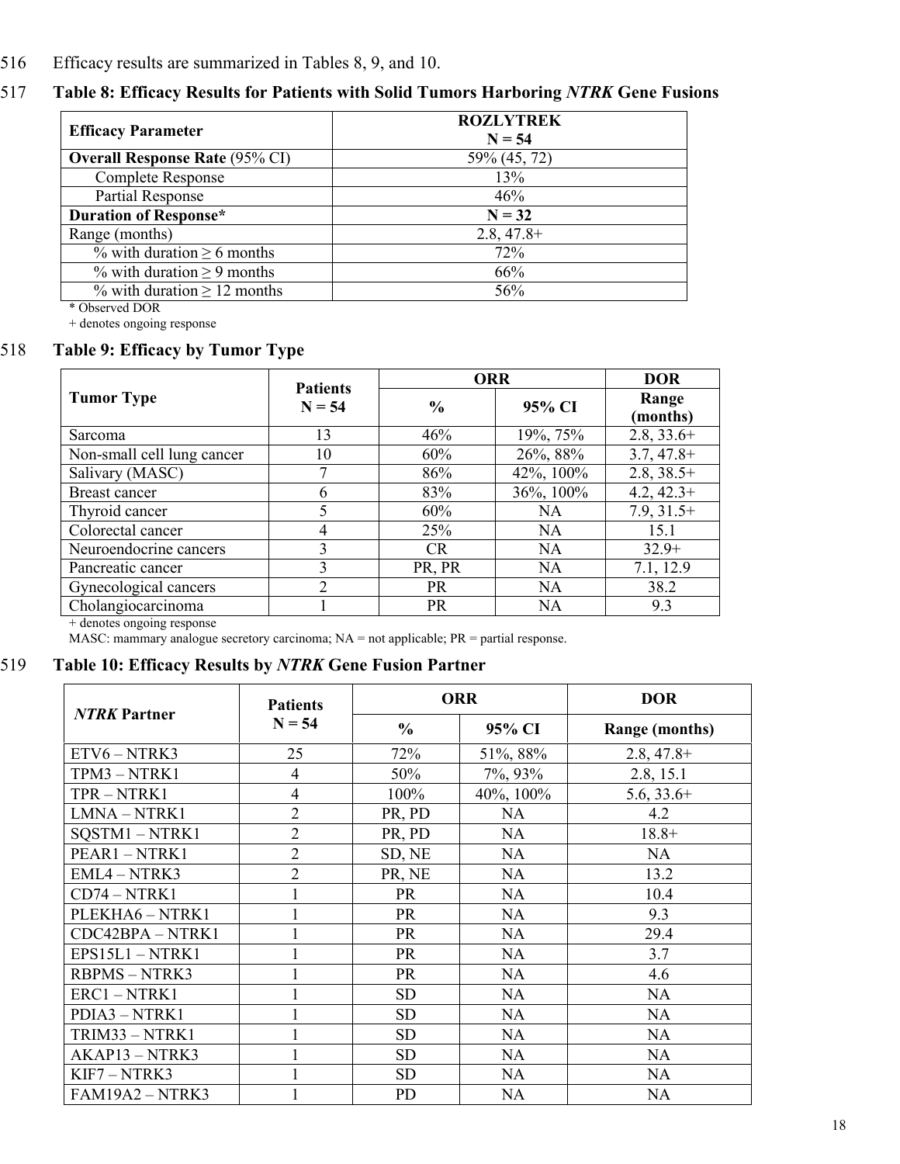#### 516 Efficacy results are summarized in Tables 8, 9, and 10.

## 517 **Table 8: Efficacy Results for Patients with Solid Tumors Harboring** *NTRK* **Gene Fusions**

| <b>Efficacy Parameter</b>             | <b>ROZLYTREK</b><br>$N = 54$ |
|---------------------------------------|------------------------------|
| <b>Overall Response Rate (95% CI)</b> | 59% (45, 72)                 |
| Complete Response                     | 13%                          |
| <b>Partial Response</b>               | 46%                          |
| <b>Duration of Response*</b>          | $N = 32$                     |
| Range (months)                        | $2.8, 47.8+$                 |
| % with duration $\geq 6$ months       | 72%                          |
| % with duration $\geq 9$ months       | 66%                          |
| $\%$ with duration $\geq 12$ months   | 56%                          |

\* Observed DOR

+ denotes ongoing response

## 518 **Table 9: Efficacy by Tumor Type**

|                            | <b>Patients</b><br>$N = 54$ | <b>ORR</b>    | <b>DOR</b> |                   |
|----------------------------|-----------------------------|---------------|------------|-------------------|
| <b>Tumor Type</b>          |                             | $\frac{6}{9}$ | 95% CI     | Range<br>(months) |
| Sarcoma                    | 13                          | 46%           | 19%, 75%   | $2.8, 33.6+$      |
| Non-small cell lung cancer | 10                          | 60%           | 26%, 88%   | $3.7, 47.8+$      |
| Salivary (MASC)            |                             | 86%           | 42%, 100%  | $2.8, 38.5+$      |
| <b>Breast cancer</b>       | 6                           | 83%           | 36%, 100%  | $4.2, 42.3+$      |
| Thyroid cancer             | 5                           | 60%           | <b>NA</b>  | $7.9, 31.5+$      |
| Colorectal cancer          | 4                           | 25%           | <b>NA</b>  | 15.1              |
| Neuroendocrine cancers     | 3                           | CR.           | <b>NA</b>  | $32.9+$           |
| Pancreatic cancer          | 3                           | PR, PR        | <b>NA</b>  | 7.1, 12.9         |
| Gynecological cancers      | $\mathfrak{D}$              | <b>PR</b>     | <b>NA</b>  | 38.2              |
| Cholangiocarcinoma         |                             | <b>PR</b>     | <b>NA</b>  | 9.3               |

+ denotes ongoing response

MASC: mammary analogue secretory carcinoma;  $NA = not$  applicable;  $PR =$  partial response.

#### 519 **Table 10: Efficacy Results by** *NTRK* **Gene Fusion Partner**

| <b>NTRK Partner</b> | <b>Patients</b><br>$N = 54$ | <b>ORR</b>    |           | <b>DOR</b>            |
|---------------------|-----------------------------|---------------|-----------|-----------------------|
|                     |                             | $\frac{6}{6}$ | 95% CI    | <b>Range (months)</b> |
| $ETV6 - NTRK3$      | 25                          | 72%           | 51%, 88%  | $2.8, 47.8+$          |
| TPM3-NTRK1          | 4                           | 50%           | 7%, 93%   | 2.8, 15.1             |
| TPR-NTRK1           | 4                           | 100%          | 40%, 100% | $5.6, 33.6+$          |
| LMNA-NTRK1          | $\overline{2}$              | PR, PD        | NA        | 4.2                   |
| SQSTM1-NTRK1        | $\overline{2}$              | PR, PD        | NA        | $18.8+$               |
| PEAR1-NTRK1         | $\overline{2}$              | SD, NE        | NA        | NA                    |
| EML4 - NTRK3        | $\overline{2}$              | PR, NE        | <b>NA</b> | 13.2                  |
| $CD74 - NTRK1$      |                             | PR            | <b>NA</b> | 10.4                  |
| PLEKHA6 - NTRK1     |                             | <b>PR</b>     | NA        | 9.3                   |
| CDC42BPA - NTRK1    |                             | PR            | NA.       | 29.4                  |
| $EPS15L1 - NTRK1$   |                             | <b>PR</b>     | NA        | 3.7                   |
| <b>RBPMS-NTRK3</b>  |                             | PR            | <b>NA</b> | 4.6                   |
| ERC1-NTRK1          |                             | <b>SD</b>     | <b>NA</b> | <b>NA</b>             |
| PDIA3 - NTRK1       |                             | <b>SD</b>     | <b>NA</b> | NA                    |
| TRIM33 - NTRK1      |                             | <b>SD</b>     | <b>NA</b> | <b>NA</b>             |
| $AKAP13 - NTRK3$    |                             | <b>SD</b>     | NA        | <b>NA</b>             |
| $KIF7 - NTRK3$      |                             | <b>SD</b>     | <b>NA</b> | <b>NA</b>             |
| FAM19A2 - NTRK3     |                             | <b>PD</b>     | <b>NA</b> | <b>NA</b>             |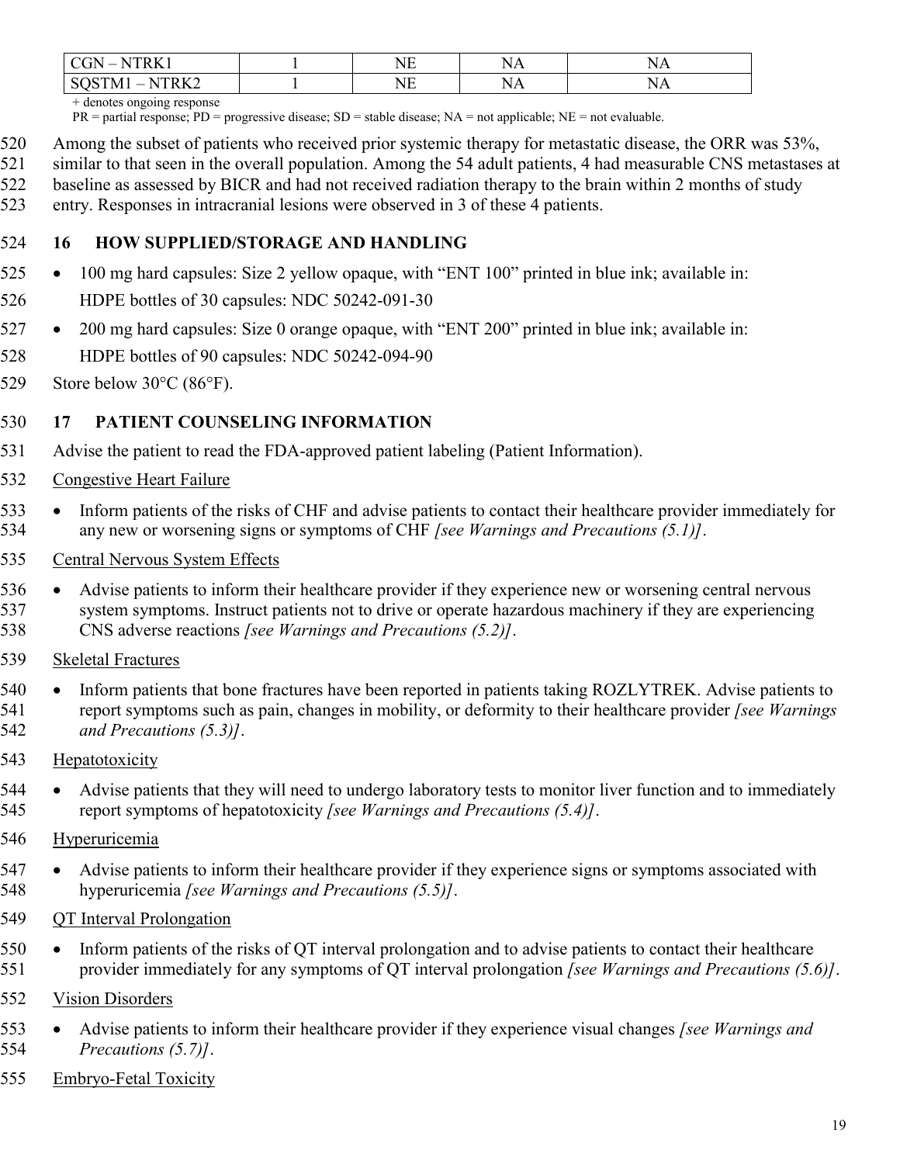| $-1$<br>$\overline{\ }$ $\overline{\ }$ | N<br>.   | ╲            |  |
|-----------------------------------------|----------|--------------|--|
| N.<br>IV.<br>ັ                          | $-$<br>` | $\mathbf{v}$ |  |

+ denotes ongoing response

 $PR =$  partial response;  $PD =$  progressive disease;  $SD =$  stable disease;  $NA =$  not applicable;  $NE =$  not evaluable.

Among the subset of patients who received prior systemic therapy for metastatic disease, the ORR was 53%,

- similar to that seen in the overall population. Among the 54 adult patients, 4 had measurable CNS metastases at baseline as assessed by BICR and had not received radiation therapy to the brain within 2 months of study
- entry. Responses in intracranial lesions were observed in 3 of these 4 patients.

## **16 HOW SUPPLIED/STORAGE AND HANDLING**

- 525 100 mg hard capsules: Size 2 yellow opaque, with "ENT 100" printed in blue ink; available in:
- HDPE bottles of 30 capsules: NDC 50242-091-30
- 527 200 mg hard capsules: Size 0 orange opaque, with "ENT 200" printed in blue ink; available in:
- HDPE bottles of 90 capsules: NDC 50242-094-90
- 529 Store below  $30^{\circ}$ C (86 $^{\circ}$ F).

#### **17 PATIENT COUNSELING INFORMATION**

- Advise the patient to read the FDA-approved patient labeling (Patient Information).
- Congestive Heart Failure
- 533 Inform patients of the risks of CHF and advise patients to contact their healthcare provider immediately for any new or worsening signs or symptoms of CHF *[see Warnings and Precautions (5.1)]*.
- Central Nervous System Effects
- 536 Advise patients to inform their healthcare provider if they experience new or worsening central nervous system symptoms. Instruct patients not to drive or operate hazardous machinery if they are experiencing CNS adverse reactions *[see Warnings and Precautions (5.2)]*.
- Skeletal Fractures
- 540 Inform patients that bone fractures have been reported in patients taking ROZLYTREK. Advise patients to report symptoms such as pain, changes in mobility, or deformity to their healthcare provider *[see Warnings and Precautions (5.3)]*.
- Hepatotoxicity
- 544 Advise patients that they will need to undergo laboratory tests to monitor liver function and to immediately report symptoms of hepatotoxicity *[see Warnings and Precautions (5.4)]*.
- 546 Hyperuricemia
- 547 Advise patients to inform their healthcare provider if they experience signs or symptoms associated with hyperuricemia *[see Warnings and Precautions (5.5)]*.
- QT Interval Prolongation
- 550 Inform patients of the risks of QT interval prolongation and to advise patients to contact their healthcare provider immediately for any symptoms of QT interval prolongation *[see Warnings and Precautions (5.6)]*.
- Vision Disorders
- Advise patients to inform their healthcare provider if they experience visual changes *[see Warnings and Precautions (5.7)]*.
- Embryo-Fetal Toxicity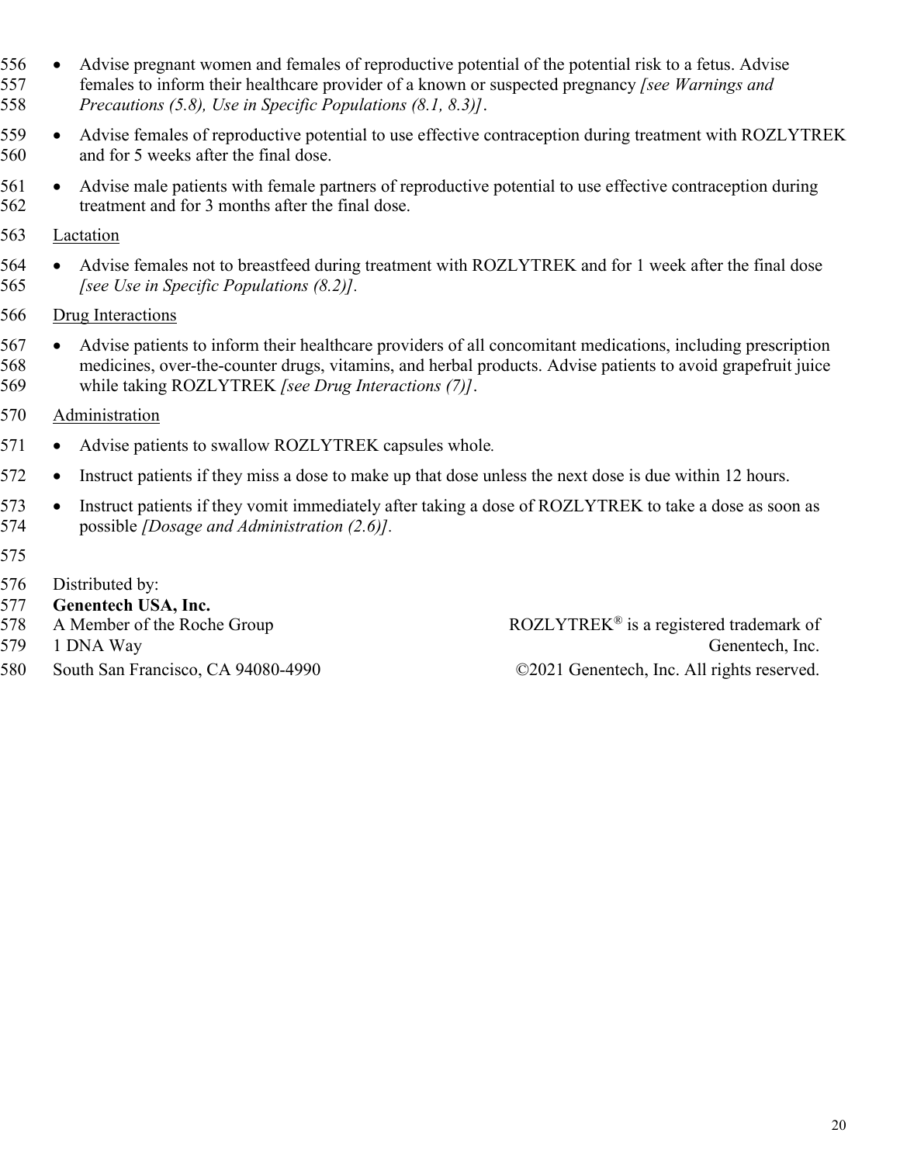- 556 Advise pregnant women and females of reproductive potential of the potential risk to a fetus. Advise females to inform their healthcare provider of a known or suspected pregnancy *[see Warnings and Precautions (5.8), Use in Specific Populations (8.1, 8.3)]*.
- 559 Advise females of reproductive potential to use effective contraception during treatment with ROZLYTREK and for 5 weeks after the final dose.
- 561 . Advise male patients with female partners of reproductive potential to use effective contraception during treatment and for 3 months after the final dose.
- 563 Lactation
- 564 Advise females not to breastfeed during treatment with ROZLYTREK and for 1 week after the final dose *[see Use in Specific Populations (8.2)].*
- Drug Interactions
- 567 Advise patients to inform their healthcare providers of all concomitant medications, including prescription medicines, over-the-counter drugs, vitamins, and herbal products. Advise patients to avoid grapefruit juice while taking ROZLYTREK *[see Drug Interactions (7)]*.
- Administration
- Advise patients to swallow ROZLYTREK capsules whole*.*
- 572 Instruct patients if they miss a dose to make up that dose unless the next dose is due within 12 hours.
- 573 Instruct patients if they vomit immediately after taking a dose of ROZLYTREK to take a dose as soon as possible *[Dosage and Administration (2.6)].*
- 
- Distributed by:
- **Genentech USA, Inc.**
- 
- 
- South San Francisco, CA 94080-4990 ©2021 Genentech, Inc. All rights reserved.

578 A Member of the Roche Group ROZLYTREK<sup>®</sup> is a registered trademark of 579 1 DNA Way Generation and Separation Contract Generation Contract Generation, Inc.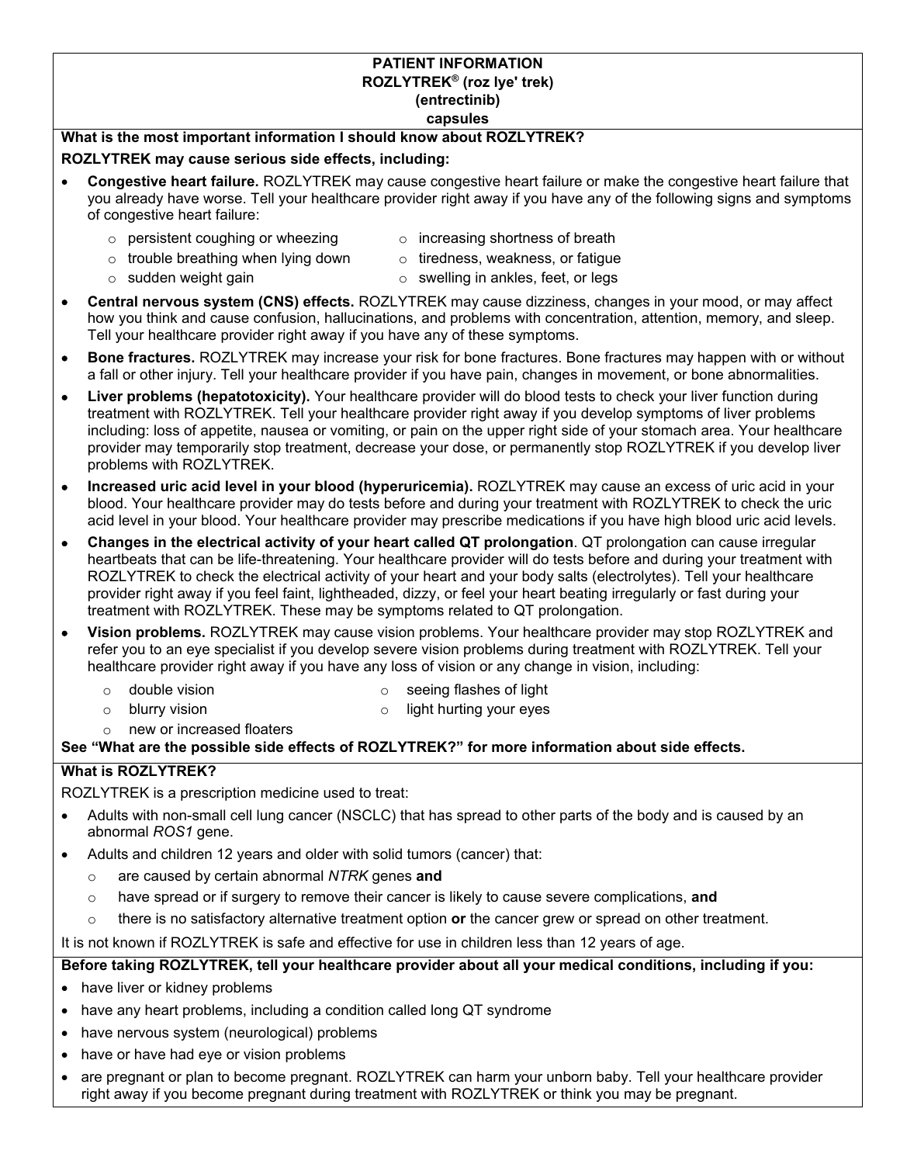#### **PATIENT INFORMATION ROZLYTREK® (roz lye' trek) (entrectinib)**

#### **capsules**

#### **What is the most important information I should know about ROZLYTREK?**

#### **ROZLYTREK may cause serious side effects, including:**

- **Congestive heart failure.** ROZLYTREK may cause congestive heart failure or make the congestive heart failure that you already have worse. Tell your healthcare provider right away if you have any of the following signs and symptoms of congestive heart failure:
	- $\circ$  persistent coughing or wheezing  $\circ$  increasing shortness of breath
	- $\circ$  trouble breathing when lying down  $\circ$  tiredness, weakness, or fatigue
- -
	- $\circ$  sudden weight gain  $\circ$  swelling in ankles, feet, or legs
- **Central nervous system (CNS) effects.** ROZLYTREK may cause dizziness, changes in your mood, or may affect how you think and cause confusion, hallucinations, and problems with concentration, attention, memory, and sleep. Tell your healthcare provider right away if you have any of these symptoms.
- **Bone fractures.** ROZLYTREK may increase your risk for bone fractures. Bone fractures may happen with or without a fall or other injury. Tell your healthcare provider if you have pain, changes in movement, or bone abnormalities.
- **Liver problems (hepatotoxicity).** Your healthcare provider will do blood tests to check your liver function during treatment with ROZLYTREK. Tell your healthcare provider right away if you develop symptoms of liver problems including: loss of appetite, nausea or vomiting, or pain on the upper right side of your stomach area. Your healthcare provider may temporarily stop treatment, decrease your dose, or permanently stop ROZLYTREK if you develop liver problems with ROZLYTREK.
- **Increased uric acid level in your blood (hyperuricemia).** ROZLYTREK may cause an excess of uric acid in your blood. Your healthcare provider may do tests before and during your treatment with ROZLYTREK to check the uric acid level in your blood. Your healthcare provider may prescribe medications if you have high blood uric acid levels.
- **Changes in the electrical activity of your heart called QT prolongation**. QT prolongation can cause irregular heartbeats that can be life-threatening. Your healthcare provider will do tests before and during your treatment with ROZLYTREK to check the electrical activity of your heart and your body salts (electrolytes). Tell your healthcare provider right away if you feel faint, lightheaded, dizzy, or feel your heart beating irregularly or fast during your treatment with ROZLYTREK. These may be symptoms related to QT prolongation.
- **Vision problems.** ROZLYTREK may cause vision problems. Your healthcare provider may stop ROZLYTREK and refer you to an eye specialist if you develop severe vision problems during treatment with ROZLYTREK. Tell your healthcare provider right away if you have any loss of vision or any change in vision, including:
	-
	- o double vision **on the seema** flashes of light
	-
	- o blurry vision **o light hurting your eyes**
	- o new or increased floaters

#### **See "What are the possible side effects of ROZLYTREK?" for more information about side effects.**

#### **What is ROZLYTREK?**

ROZLYTREK is a prescription medicine used to treat:

- Adults with non-small cell lung cancer (NSCLC) that has spread to other parts of the body and is caused by an abnormal *ROS1* gene.
- Adults and children 12 years and older with solid tumors (cancer) that:
	- o are caused by certain abnormal *NTRK* genes **and**
	- o have spread or if surgery to remove their cancer is likely to cause severe complications, **and**
	- o there is no satisfactory alternative treatment option **or** the cancer grew or spread on other treatment.

It is not known if ROZLYTREK is safe and effective for use in children less than 12 years of age.

#### **Before taking ROZLYTREK, tell your healthcare provider about all your medical conditions, including if you:**

- have liver or kidney problems
- have any heart problems, including a condition called long QT syndrome
- have nervous system (neurological) problems
- have or have had eye or vision problems
- are pregnant or plan to become pregnant. ROZLYTREK can harm your unborn baby. Tell your healthcare provider right away if you become pregnant during treatment with ROZLYTREK or think you may be pregnant.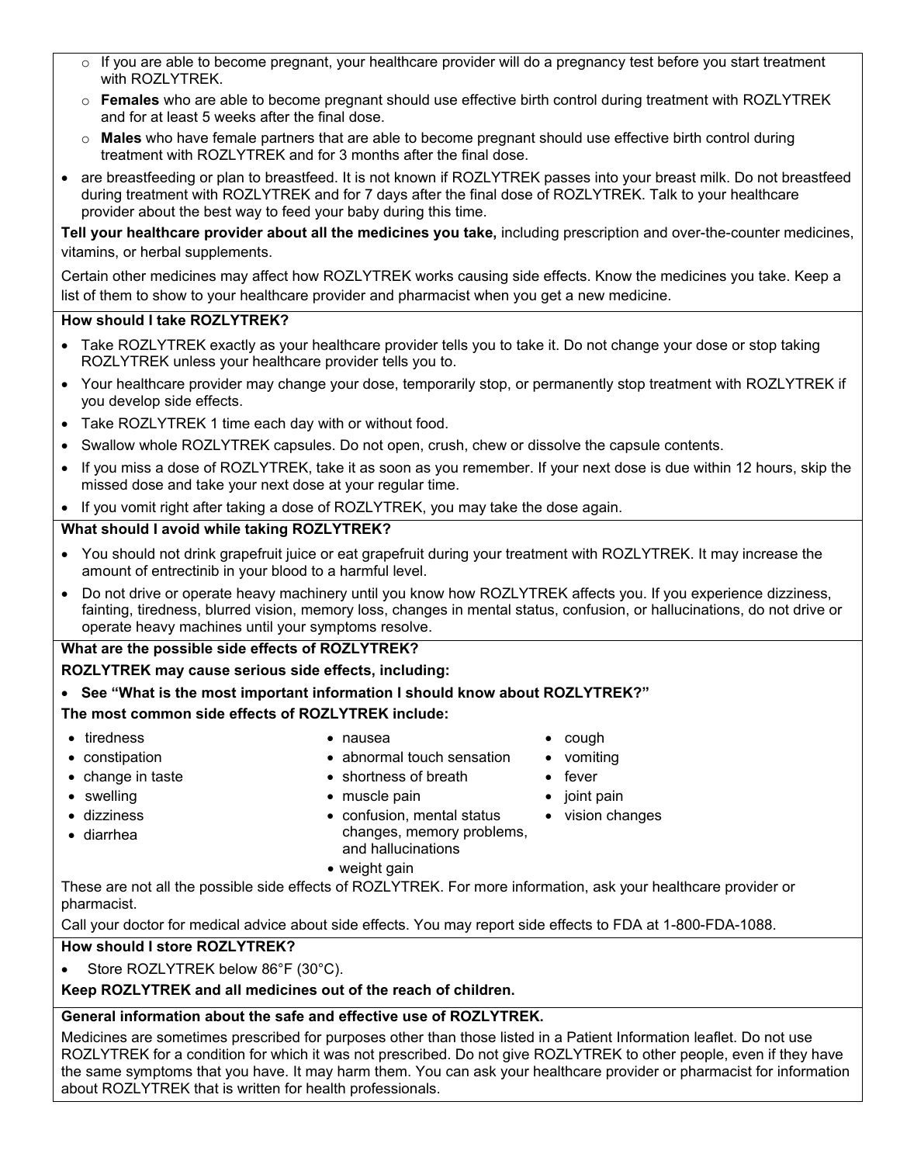- $\circ$  If you are able to become pregnant, your healthcare provider will do a pregnancy test before you start treatment with ROZLYTREK.
- o **Females** who are able to become pregnant should use effective birth control during treatment with ROZLYTREK and for at least 5 weeks after the final dose.
- o **Males** who have female partners that are able to become pregnant should use effective birth control during treatment with ROZLYTREK and for 3 months after the final dose.
- are breastfeeding or plan to breastfeed. It is not known if ROZLYTREK passes into your breast milk. Do not breastfeed during treatment with ROZLYTREK and for 7 days after the final dose of ROZLYTREK. Talk to your healthcare provider about the best way to feed your baby during this time.

**Tell your healthcare provider about all the medicines you take,** including prescription and over-the-counter medicines, vitamins, or herbal supplements.

Certain other medicines may affect how ROZLYTREK works causing side effects. Know the medicines you take. Keep a list of them to show to your healthcare provider and pharmacist when you get a new medicine.

#### **How should I take ROZLYTREK?**

- Take ROZLYTREK exactly as your healthcare provider tells you to take it. Do not change your dose or stop taking ROZLYTREK unless your healthcare provider tells you to.
- Your healthcare provider may change your dose, temporarily stop, or permanently stop treatment with ROZLYTREK if you develop side effects.
- Take ROZLYTREK 1 time each day with or without food.
- Swallow whole ROZLYTREK capsules. Do not open, crush, chew or dissolve the capsule contents.
- If you miss a dose of ROZLYTREK, take it as soon as you remember. If your next dose is due within 12 hours, skip the missed dose and take your next dose at your regular time.
- If you vomit right after taking a dose of ROZLYTREK, you may take the dose again.

#### **What should I avoid while taking ROZLYTREK?**

- You should not drink grapefruit juice or eat grapefruit during your treatment with ROZLYTREK. It may increase the amount of entrectinib in your blood to a harmful level.
- Do not drive or operate heavy machinery until you know how ROZLYTREK affects you. If you experience dizziness, fainting, tiredness, blurred vision, memory loss, changes in mental status, confusion, or hallucinations, do not drive or operate heavy machines until your symptoms resolve.

#### **What are the possible side effects of ROZLYTREK?**

#### **ROZLYTREK may cause serious side effects, including:**

**See "What is the most important information I should know about ROZLYTREK?"**

#### **The most common side effects of ROZLYTREK include:**

- tiredness
- constipation
	-
- nausea
- abnormal touch sensation

• shortness of breath

- change in taste
- swelling dizziness

diarrhea

- muscle pain confusion, mental status changes, memory problems, and hallucinations
- weight gain

These are not all the possible side effects of ROZLYTREK. For more information, ask your healthcare provider or pharmacist.

Call your doctor for medical advice about side effects. You may report side effects to FDA at 1-800-FDA-1088.

#### **How should I store ROZLYTREK?**

Store ROZLYTREK below 86°F (30°C).

#### **Keep ROZLYTREK and all medicines out of the reach of children.**

#### **General information about the safe and effective use of ROZLYTREK.**

Medicines are sometimes prescribed for purposes other than those listed in a Patient Information leaflet. Do not use ROZLYTREK for a condition for which it was not prescribed. Do not give ROZLYTREK to other people, even if they have the same symptoms that you have. It may harm them. You can ask your healthcare provider or pharmacist for information about ROZLYTREK that is written for health professionals.

- cough
- vomiting
- fever
- joint pain
- vision changes